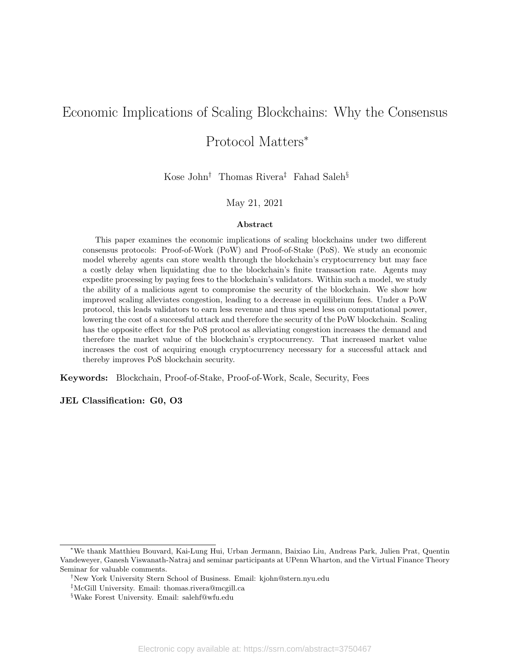# Economic Implications of Scaling Blockchains: Why the Consensus

# Protocol Matters<sup>∗</sup>

Kose John† Thomas Rivera‡ Fahad Saleh§

## May 21, 2021

#### Abstract

This paper examines the economic implications of scaling blockchains under two different consensus protocols: Proof-of-Work (PoW) and Proof-of-Stake (PoS). We study an economic model whereby agents can store wealth through the blockchain's cryptocurrency but may face a costly delay when liquidating due to the blockchain's finite transaction rate. Agents may expedite processing by paying fees to the blockchain's validators. Within such a model, we study the ability of a malicious agent to compromise the security of the blockchain. We show how improved scaling alleviates congestion, leading to a decrease in equilibrium fees. Under a PoW protocol, this leads validators to earn less revenue and thus spend less on computational power, lowering the cost of a successful attack and therefore the security of the PoW blockchain. Scaling has the opposite effect for the PoS protocol as alleviating congestion increases the demand and therefore the market value of the blockchain's cryptocurrency. That increased market value increases the cost of acquiring enough cryptocurrency necessary for a successful attack and thereby improves PoS blockchain security.

Keywords: Blockchain, Proof-of-Stake, Proof-of-Work, Scale, Security, Fees

JEL Classification: G0, O3

<sup>∗</sup>We thank Matthieu Bouvard, Kai-Lung Hui, Urban Jermann, Baixiao Liu, Andreas Park, Julien Prat, Quentin Vandeweyer, Ganesh Viswanath-Natraj and seminar participants at UPenn Wharton, and the Virtual Finance Theory Seminar for valuable comments.

<sup>†</sup>New York University Stern School of Business. Email: kjohn@stern.nyu.edu

<sup>‡</sup>McGill University. Email: thomas.rivera@mcgill.ca

<sup>§</sup>Wake Forest University. Email: salehf@wfu.edu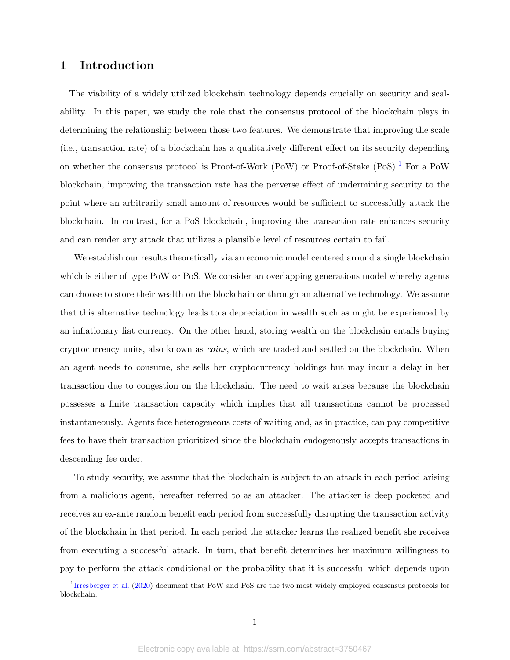## 1 Introduction

The viability of a widely utilized blockchain technology depends crucially on security and scalability. In this paper, we study the role that the consensus protocol of the blockchain plays in determining the relationship between those two features. We demonstrate that improving the scale (i.e., transaction rate) of a blockchain has a qualitatively different effect on its security depending on whether the consensus protocol is Proof-of-Work (PoW) or Proof-of-Stake (PoS).<sup>[1](#page-1-0)</sup> For a PoW blockchain, improving the transaction rate has the perverse effect of undermining security to the point where an arbitrarily small amount of resources would be sufficient to successfully attack the blockchain. In contrast, for a PoS blockchain, improving the transaction rate enhances security and can render any attack that utilizes a plausible level of resources certain to fail.

We establish our results theoretically via an economic model centered around a single blockchain which is either of type PoW or PoS. We consider an overlapping generations model whereby agents can choose to store their wealth on the blockchain or through an alternative technology. We assume that this alternative technology leads to a depreciation in wealth such as might be experienced by an inflationary fiat currency. On the other hand, storing wealth on the blockchain entails buying cryptocurrency units, also known as coins, which are traded and settled on the blockchain. When an agent needs to consume, she sells her cryptocurrency holdings but may incur a delay in her transaction due to congestion on the blockchain. The need to wait arises because the blockchain possesses a finite transaction capacity which implies that all transactions cannot be processed instantaneously. Agents face heterogeneous costs of waiting and, as in practice, can pay competitive fees to have their transaction prioritized since the blockchain endogenously accepts transactions in descending fee order.

To study security, we assume that the blockchain is subject to an attack in each period arising from a malicious agent, hereafter referred to as an attacker. The attacker is deep pocketed and receives an ex-ante random benefit each period from successfully disrupting the transaction activity of the blockchain in that period. In each period the attacker learns the realized benefit she receives from executing a successful attack. In turn, that benefit determines her maximum willingness to pay to perform the attack conditional on the probability that it is successful which depends upon

<span id="page-1-0"></span><sup>1</sup> [Irresberger et al.](#page-30-0) [\(2020\)](#page-30-0) document that PoW and PoS are the two most widely employed consensus protocols for blockchain.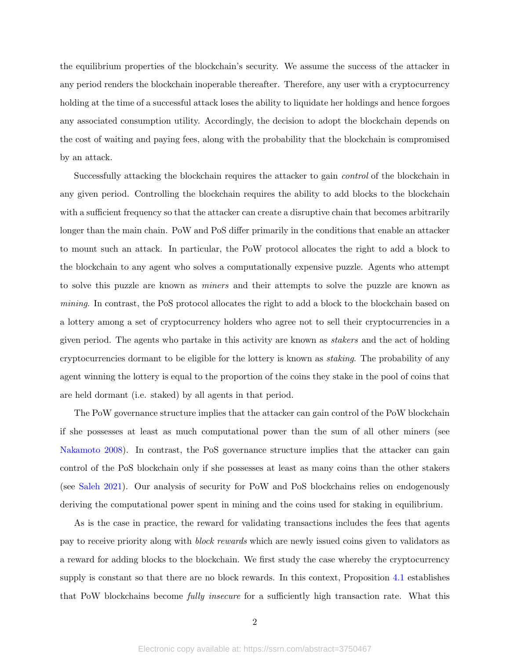the equilibrium properties of the blockchain's security. We assume the success of the attacker in any period renders the blockchain inoperable thereafter. Therefore, any user with a cryptocurrency holding at the time of a successful attack loses the ability to liquidate her holdings and hence forgoes any associated consumption utility. Accordingly, the decision to adopt the blockchain depends on the cost of waiting and paying fees, along with the probability that the blockchain is compromised by an attack.

Successfully attacking the blockchain requires the attacker to gain control of the blockchain in any given period. Controlling the blockchain requires the ability to add blocks to the blockchain with a sufficient frequency so that the attacker can create a disruptive chain that becomes arbitrarily longer than the main chain. PoW and PoS differ primarily in the conditions that enable an attacker to mount such an attack. In particular, the PoW protocol allocates the right to add a block to the blockchain to any agent who solves a computationally expensive puzzle. Agents who attempt to solve this puzzle are known as miners and their attempts to solve the puzzle are known as mining. In contrast, the PoS protocol allocates the right to add a block to the blockchain based on a lottery among a set of cryptocurrency holders who agree not to sell their cryptocurrencies in a given period. The agents who partake in this activity are known as stakers and the act of holding cryptocurrencies dormant to be eligible for the lottery is known as staking. The probability of any agent winning the lottery is equal to the proportion of the coins they stake in the pool of coins that are held dormant (i.e. staked) by all agents in that period.

The PoW governance structure implies that the attacker can gain control of the PoW blockchain if she possesses at least as much computational power than the sum of all other miners (see [Nakamoto](#page-30-1) [2008\)](#page-30-1). In contrast, the PoS governance structure implies that the attacker can gain control of the PoS blockchain only if she possesses at least as many coins than the other stakers (see [Saleh](#page-30-2) [2021\)](#page-30-2). Our analysis of security for PoW and PoS blockchains relies on endogenously deriving the computational power spent in mining and the coins used for staking in equilibrium.

As is the case in practice, the reward for validating transactions includes the fees that agents pay to receive priority along with block rewards which are newly issued coins given to validators as a reward for adding blocks to the blockchain. We first study the case whereby the cryptocurrency supply is constant so that there are no block rewards. In this context, Proposition [4.1](#page-22-0) establishes that PoW blockchains become fully insecure for a sufficiently high transaction rate. What this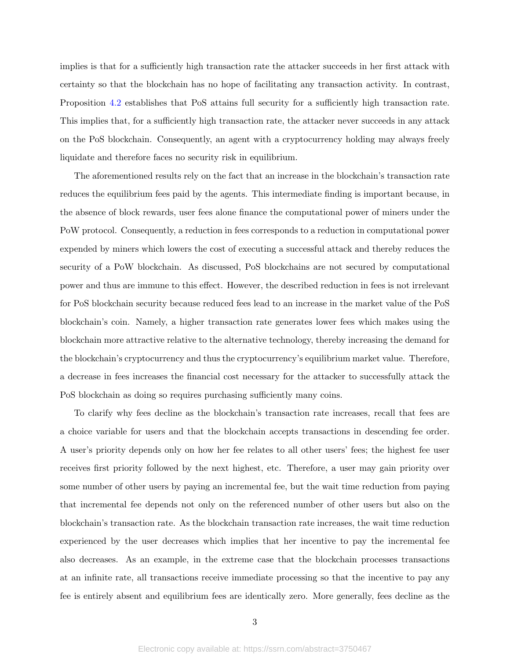implies is that for a sufficiently high transaction rate the attacker succeeds in her first attack with certainty so that the blockchain has no hope of facilitating any transaction activity. In contrast, Proposition [4.2](#page-24-0) establishes that PoS attains full security for a sufficiently high transaction rate. This implies that, for a sufficiently high transaction rate, the attacker never succeeds in any attack on the PoS blockchain. Consequently, an agent with a cryptocurrency holding may always freely liquidate and therefore faces no security risk in equilibrium.

The aforementioned results rely on the fact that an increase in the blockchain's transaction rate reduces the equilibrium fees paid by the agents. This intermediate finding is important because, in the absence of block rewards, user fees alone finance the computational power of miners under the PoW protocol. Consequently, a reduction in fees corresponds to a reduction in computational power expended by miners which lowers the cost of executing a successful attack and thereby reduces the security of a PoW blockchain. As discussed, PoS blockchains are not secured by computational power and thus are immune to this effect. However, the described reduction in fees is not irrelevant for PoS blockchain security because reduced fees lead to an increase in the market value of the PoS blockchain's coin. Namely, a higher transaction rate generates lower fees which makes using the blockchain more attractive relative to the alternative technology, thereby increasing the demand for the blockchain's cryptocurrency and thus the cryptocurrency's equilibrium market value. Therefore, a decrease in fees increases the financial cost necessary for the attacker to successfully attack the PoS blockchain as doing so requires purchasing sufficiently many coins.

To clarify why fees decline as the blockchain's transaction rate increases, recall that fees are a choice variable for users and that the blockchain accepts transactions in descending fee order. A user's priority depends only on how her fee relates to all other users' fees; the highest fee user receives first priority followed by the next highest, etc. Therefore, a user may gain priority over some number of other users by paying an incremental fee, but the wait time reduction from paying that incremental fee depends not only on the referenced number of other users but also on the blockchain's transaction rate. As the blockchain transaction rate increases, the wait time reduction experienced by the user decreases which implies that her incentive to pay the incremental fee also decreases. As an example, in the extreme case that the blockchain processes transactions at an infinite rate, all transactions receive immediate processing so that the incentive to pay any fee is entirely absent and equilibrium fees are identically zero. More generally, fees decline as the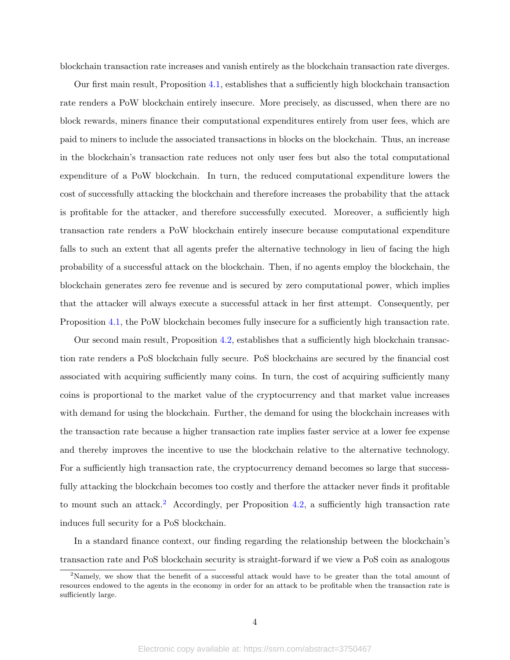blockchain transaction rate increases and vanish entirely as the blockchain transaction rate diverges.

Our first main result, Proposition [4.1,](#page-22-0) establishes that a sufficiently high blockchain transaction rate renders a PoW blockchain entirely insecure. More precisely, as discussed, when there are no block rewards, miners finance their computational expenditures entirely from user fees, which are paid to miners to include the associated transactions in blocks on the blockchain. Thus, an increase in the blockchain's transaction rate reduces not only user fees but also the total computational expenditure of a PoW blockchain. In turn, the reduced computational expenditure lowers the cost of successfully attacking the blockchain and therefore increases the probability that the attack is profitable for the attacker, and therefore successfully executed. Moreover, a sufficiently high transaction rate renders a PoW blockchain entirely insecure because computational expenditure falls to such an extent that all agents prefer the alternative technology in lieu of facing the high probability of a successful attack on the blockchain. Then, if no agents employ the blockchain, the blockchain generates zero fee revenue and is secured by zero computational power, which implies that the attacker will always execute a successful attack in her first attempt. Consequently, per Proposition [4.1,](#page-22-0) the PoW blockchain becomes fully insecure for a sufficiently high transaction rate.

Our second main result, Proposition [4.2,](#page-24-0) establishes that a sufficiently high blockchain transaction rate renders a PoS blockchain fully secure. PoS blockchains are secured by the financial cost associated with acquiring sufficiently many coins. In turn, the cost of acquiring sufficiently many coins is proportional to the market value of the cryptocurrency and that market value increases with demand for using the blockchain. Further, the demand for using the blockchain increases with the transaction rate because a higher transaction rate implies faster service at a lower fee expense and thereby improves the incentive to use the blockchain relative to the alternative technology. For a sufficiently high transaction rate, the cryptocurrency demand becomes so large that successfully attacking the blockchain becomes too costly and therfore the attacker never finds it profitable to mount such an attack.<sup>[2](#page-4-0)</sup> Accordingly, per Proposition [4.2,](#page-24-0) a sufficiently high transaction rate induces full security for a PoS blockchain.

In a standard finance context, our finding regarding the relationship between the blockchain's transaction rate and PoS blockchain security is straight-forward if we view a PoS coin as analogous

<span id="page-4-0"></span><sup>&</sup>lt;sup>2</sup>Namely, we show that the benefit of a successful attack would have to be greater than the total amount of resources endowed to the agents in the economy in order for an attack to be profitable when the transaction rate is sufficiently large.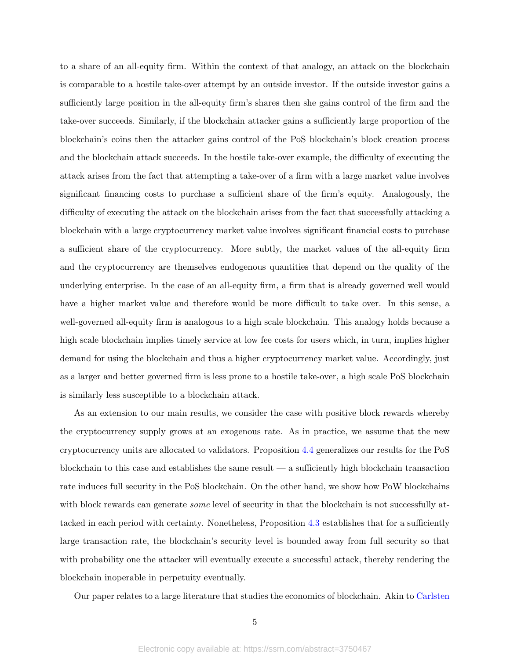to a share of an all-equity firm. Within the context of that analogy, an attack on the blockchain is comparable to a hostile take-over attempt by an outside investor. If the outside investor gains a sufficiently large position in the all-equity firm's shares then she gains control of the firm and the take-over succeeds. Similarly, if the blockchain attacker gains a sufficiently large proportion of the blockchain's coins then the attacker gains control of the PoS blockchain's block creation process and the blockchain attack succeeds. In the hostile take-over example, the difficulty of executing the attack arises from the fact that attempting a take-over of a firm with a large market value involves significant financing costs to purchase a sufficient share of the firm's equity. Analogously, the difficulty of executing the attack on the blockchain arises from the fact that successfully attacking a blockchain with a large cryptocurrency market value involves significant financial costs to purchase a sufficient share of the cryptocurrency. More subtly, the market values of the all-equity firm and the cryptocurrency are themselves endogenous quantities that depend on the quality of the underlying enterprise. In the case of an all-equity firm, a firm that is already governed well would have a higher market value and therefore would be more difficult to take over. In this sense, a well-governed all-equity firm is analogous to a high scale blockchain. This analogy holds because a high scale blockchain implies timely service at low fee costs for users which, in turn, implies higher demand for using the blockchain and thus a higher cryptocurrency market value. Accordingly, just as a larger and better governed firm is less prone to a hostile take-over, a high scale PoS blockchain is similarly less susceptible to a blockchain attack.

As an extension to our main results, we consider the case with positive block rewards whereby the cryptocurrency supply grows at an exogenous rate. As in practice, we assume that the new cryptocurrency units are allocated to validators. Proposition [4.4](#page-27-0) generalizes our results for the PoS blockchain to this case and establishes the same result  $-$  a sufficiently high blockchain transaction rate induces full security in the PoS blockchain. On the other hand, we show how PoW blockchains with block rewards can generate *some* level of security in that the blockchain is not successfully attacked in each period with certainty. Nonetheless, Proposition [4.3](#page-25-0) establishes that for a sufficiently large transaction rate, the blockchain's security level is bounded away from full security so that with probability one the attacker will eventually execute a successful attack, thereby rendering the blockchain inoperable in perpetuity eventually.

Our paper relates to a large literature that studies the economics of blockchain. Akin to [Carlsten](#page-29-0)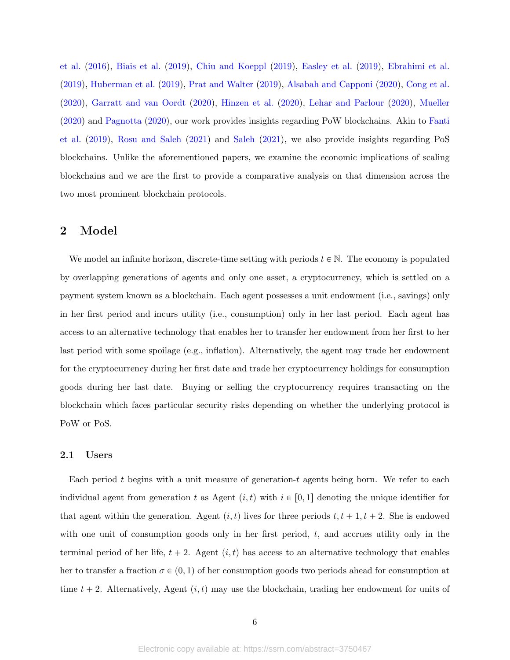[et al.](#page-29-0) [\(2016\)](#page-29-0), [Biais et al.](#page-29-1) [\(2019\)](#page-29-1), [Chiu and Koeppl](#page-29-2) [\(2019\)](#page-29-2), [Easley et al.](#page-29-3) [\(2019\)](#page-29-3), [Ebrahimi et al.](#page-29-4) [\(2019\)](#page-29-4), [Huberman et al.](#page-30-3) [\(2019\)](#page-30-3), [Prat and Walter](#page-30-4) [\(2019\)](#page-30-4), [Alsabah and Capponi](#page-29-5) [\(2020\)](#page-29-5), [Cong et al.](#page-29-6) [\(2020\)](#page-29-6), [Garratt and van Oordt](#page-30-5) [\(2020\)](#page-30-5), [Hinzen et al.](#page-30-6) [\(2020\)](#page-30-6), [Lehar and Parlour](#page-30-7) [\(2020\)](#page-30-7), [Mueller](#page-30-8) [\(2020\)](#page-30-8) and [Pagnotta](#page-30-9) [\(2020\)](#page-30-9), our work provides insights regarding PoW blockchains. Akin to [Fanti](#page-29-7) [et al.](#page-29-7) [\(2019\)](#page-29-7), [Rosu and Saleh](#page-30-10) [\(2021\)](#page-30-10) and [Saleh](#page-30-2) [\(2021\)](#page-30-2), we also provide insights regarding PoS blockchains. Unlike the aforementioned papers, we examine the economic implications of scaling blockchains and we are the first to provide a comparative analysis on that dimension across the two most prominent blockchain protocols.

## 2 Model

We model an infinite horizon, discrete-time setting with periods  $t \in \mathbb{N}$ . The economy is populated by overlapping generations of agents and only one asset, a cryptocurrency, which is settled on a payment system known as a blockchain. Each agent possesses a unit endowment (i.e., savings) only in her first period and incurs utility (i.e., consumption) only in her last period. Each agent has access to an alternative technology that enables her to transfer her endowment from her first to her last period with some spoilage (e.g., inflation). Alternatively, the agent may trade her endowment for the cryptocurrency during her first date and trade her cryptocurrency holdings for consumption goods during her last date. Buying or selling the cryptocurrency requires transacting on the blockchain which faces particular security risks depending on whether the underlying protocol is PoW or PoS.

## <span id="page-6-0"></span>2.1 Users

Each period t begins with a unit measure of generation-t agents being born. We refer to each individual agent from generation t as Agent  $(i, t)$  with  $i \in [0, 1]$  denoting the unique identifier for that agent within the generation. Agent  $(i, t)$  lives for three periods  $t, t + 1, t + 2$ . She is endowed with one unit of consumption goods only in her first period,  $t$ , and accrues utility only in the terminal period of her life,  $t + 2$ . Agent  $(i, t)$  has access to an alternative technology that enables her to transfer a fraction  $\sigma \in (0, 1)$  of her consumption goods two periods ahead for consumption at time  $t + 2$ . Alternatively, Agent  $(i, t)$  may use the blockchain, trading her endowment for units of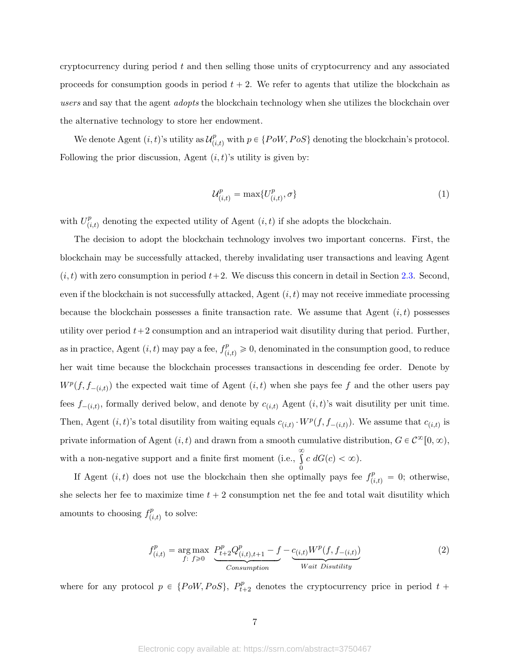cryptocurrency during period  $t$  and then selling those units of cryptocurrency and any associated proceeds for consumption goods in period  $t + 2$ . We refer to agents that utilize the blockchain as users and say that the agent *adopts* the blockchain technology when she utilizes the blockchain over the alternative technology to store her endowment.

We denote Agent  $(i, t)$ 's utility as  $\mathcal{U}_{i}^{p}$  $p_{(i,t)}^p$  with  $p \in \{Pow, Pos\}$  denoting the blockchain's protocol. Following the prior discussion, Agent  $(i, t)$ 's utility is given by:

$$
\mathcal{U}_{(i,t)}^p = \max\{U_{(i,t)}^p, \sigma\} \tag{1}
$$

with  $U_{ij}^p$  $_{(i,t)}^p$  denoting the expected utility of Agent  $(i, t)$  if she adopts the blockchain.

The decision to adopt the blockchain technology involves two important concerns. First, the blockchain may be successfully attacked, thereby invalidating user transactions and leaving Agent  $(i, t)$  with zero consumption in period  $t+2$ . We discuss this concern in detail in Section [2.3.](#page-12-0) Second, even if the blockchain is not successfully attacked, Agent  $(i, t)$  may not receive immediate processing because the blockchain possesses a finite transaction rate. We assume that Agent  $(i, t)$  possesses utility over period  $t+2$  consumption and an intraperiod wait disutility during that period. Further, as in practice, Agent  $(i, t)$  may pay a fee,  $f_{(i,t)}^p \geq 0$ , denominated in the consumption good, to reduce her wait time because the blockchain processes transactions in descending fee order. Denote by  $W^p(f, f_{-(i,t)})$  the expected wait time of Agent  $(i, t)$  when she pays fee f and the other users pay fees  $f_{-(i,t)}$ , formally derived below, and denote by  $c_{(i,t)}$  Agent  $(i, t)$ 's wait disutility per unit time. Then, Agent  $(i, t)$ 's total disutility from waiting equals  $c_{(i,t)} \cdot W^p(f, f_{-(i,t)})$ . We assume that  $c_{(i,t)}$  is private information of Agent  $(i, t)$  and drawn from a smooth cumulative distribution,  $G \in C^{\infty}[0, \infty)$ , with a non-negative support and a finite first moment (i.e.,  $\infty$ 0  $c \, dG(c) < \infty$ ).

If Agent  $(i, t)$  does not use the blockchain then she optimally pays fee  $f_{(i,t)}^p = 0$ ; otherwise, she selects her fee to maximize time  $t + 2$  consumption net the fee and total wait disutility which amounts to choosing  $f_{\ell i}^p$  $p_{(i,t)}^p$  to solve:

$$
f_{(i,t)}^p = \underset{f: f \ge 0}{\arg \max} \underbrace{P_{t+2}^p Q_{(i,t),t+1}^p - f}_{\text{Consumption}} - \underbrace{c_{(i,t)} W^p(f, f_{-(i,t)})}_{\text{Wait Disutility}}
$$
(2)

where for any protocol  $p \in \{PoW, PoS\}, P_{t}^p$  $t_{t+2}^p$  denotes the cryptocurrency price in period  $t +$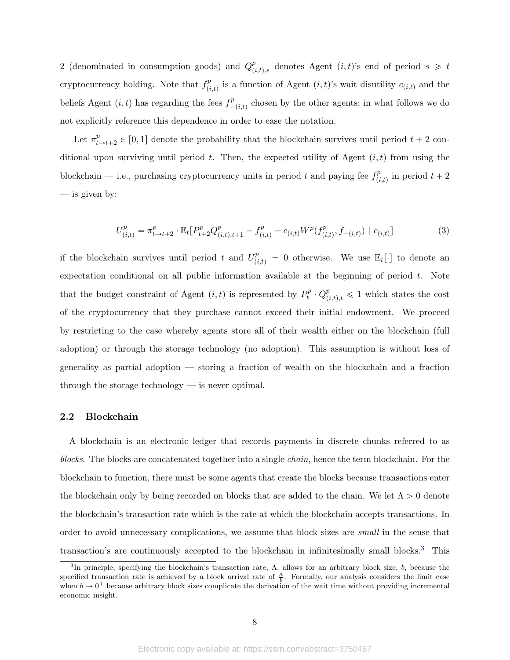2 (denominated in consumption goods) and  $Q_{\ell}^{p}$  $p_{(i,t),s}^p$  denotes Agent  $(i,t)$ 's end of period  $s \geq t$ cryptocurrency holding. Note that  $f_{ij}^p$  $_{(i,t)}^p$  is a function of Agent  $(i,t)$ 's wait disutility  $c_{(i,t)}$  and the beliefs Agent  $(i, t)$  has regarding the fees  $f^p_{-}$  $\int_{-(i,t)}^p$  chosen by the other agents; in what follows we do not explicitly reference this dependence in order to ease the notation.

Let  $\pi_t^p$  $_{t\rightarrow t+2}^{p} \in [0, 1]$  denote the probability that the blockchain survives until period  $t + 2$  conditional upon surviving until period t. Then, the expected utility of Agent  $(i, t)$  from using the blockchain – i.e., purchasing cryptocurrency units in period t and paying fee  $f_{ij}^p$  $p_{(i,t)}^p$  in period  $t + 2$ — is given by:

$$
U_{(i,t)}^p = \pi_{t \to t+2}^p \cdot \mathbb{E}_t[P_{t+2}^p Q_{(i,t),t+1}^p - f_{(i,t)}^p - c_{(i,t)} W^p(f_{(i,t)}^p, f_{-(i,t)}) \mid c_{(i,t)}]
$$
(3)

if the blockchain survives until period t and  $U_{(i,t)}^p = 0$  otherwise. We use  $\mathbb{E}_t[\cdot]$  to denote an expectation conditional on all public information available at the beginning of period  $t$ . Note that the budget constraint of Agent  $(i, t)$  is represented by  $P_t^p$  $t^p_t \cdot Q_{(i,t),t}^p \leq 1$  which states the cost of the cryptocurrency that they purchase cannot exceed their initial endowment. We proceed by restricting to the case whereby agents store all of their wealth either on the blockchain (full adoption) or through the storage technology (no adoption). This assumption is without loss of generality as partial adoption — storing a fraction of wealth on the blockchain and a fraction through the storage technology — is never optimal.

## 2.2 Blockchain

A blockchain is an electronic ledger that records payments in discrete chunks referred to as blocks. The blocks are concatenated together into a single chain, hence the term blockchain. For the blockchain to function, there must be some agents that create the blocks because transactions enter the blockchain only by being recorded on blocks that are added to the chain. We let  $\Lambda > 0$  denote the blockchain's transaction rate which is the rate at which the blockchain accepts transactions. In order to avoid unnecessary complications, we assume that block sizes are small in the sense that transaction's are continuously accepted to the blockchain in infinitesimally small blocks.[3](#page-8-0) This

<span id="page-8-0"></span><sup>&</sup>lt;sup>3</sup>In principle, specifying the blockchain's transaction rate,  $\Lambda$ , allows for an arbitrary block size, b, because the specified transaction rate is achieved by a block arrival rate of  $\frac{\Lambda}{b}$ . Formally, our analysis considers the limit case when  $b \to 0^+$  because arbitrary block sizes complicate the derivation of the wait time without providing incremental economic insight.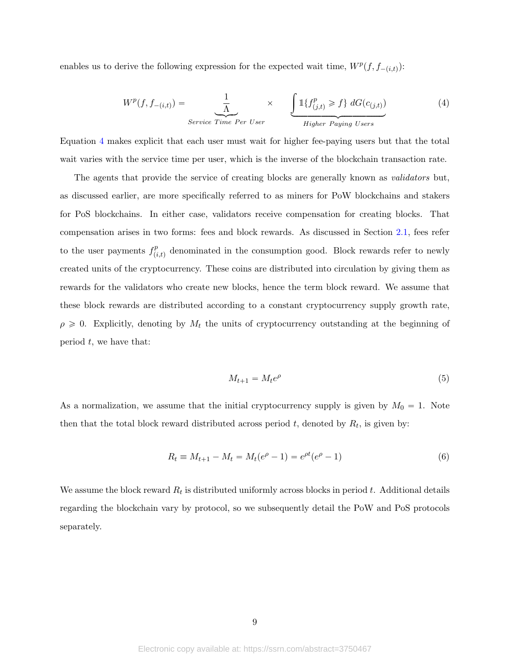enables us to derive the following expression for the expected wait time,  $W^p(f, f_{-(i,t)})$ :

<span id="page-9-0"></span>
$$
W^{p}(f, f_{-(i,t)}) = \frac{1}{\Lambda} \times \underbrace{\int \mathbb{1}\{f^{p}_{(j,t)} \ge f\} dG(c_{(j,t)})}_{\text{Service Time Per User}} \tag{4}
$$

Equation [4](#page-9-0) makes explicit that each user must wait for higher fee-paying users but that the total wait varies with the service time per user, which is the inverse of the blockchain transaction rate.

The agents that provide the service of creating blocks are generally known as validators but, as discussed earlier, are more specifically referred to as miners for PoW blockchains and stakers for PoS blockchains. In either case, validators receive compensation for creating blocks. That compensation arises in two forms: fees and block rewards. As discussed in Section [2.1,](#page-6-0) fees refer to the user payments  $f_{ij}^p$  $_{(i,t)}^p$  denominated in the consumption good. Block rewards refer to newly created units of the cryptocurrency. These coins are distributed into circulation by giving them as rewards for the validators who create new blocks, hence the term block reward. We assume that these block rewards are distributed according to a constant cryptocurrency supply growth rate,  $\rho \geq 0$ . Explicitly, denoting by  $M_t$  the units of cryptocurrency outstanding at the beginning of period  $t$ , we have that:

$$
M_{t+1} = M_t e^{\rho} \tag{5}
$$

As a normalization, we assume that the initial cryptocurrency supply is given by  $M_0 = 1$ . Note then that the total block reward distributed across period  $t$ , denoted by  $R_t$ , is given by:

$$
R_t \equiv M_{t+1} - M_t = M_t(e^{\rho} - 1) = e^{\rho t}(e^{\rho} - 1)
$$
\n(6)

We assume the block reward  $R_t$  is distributed uniformly across blocks in period t. Additional details regarding the blockchain vary by protocol, so we subsequently detail the PoW and PoS protocols separately.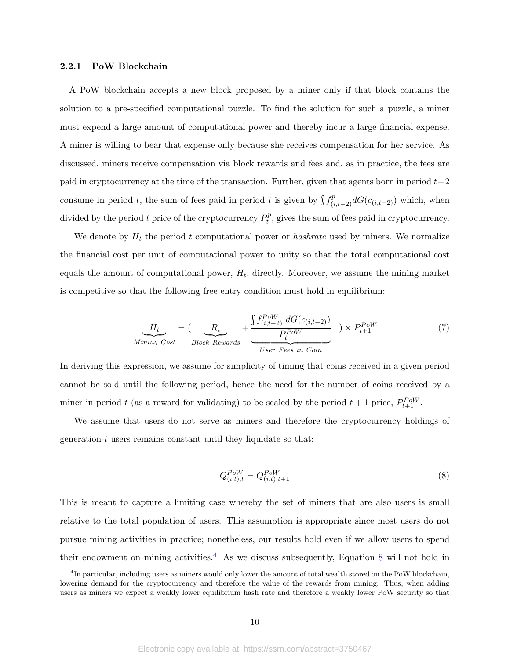#### 2.2.1 PoW Blockchain

A PoW blockchain accepts a new block proposed by a miner only if that block contains the solution to a pre-specified computational puzzle. To find the solution for such a puzzle, a miner must expend a large amount of computational power and thereby incur a large financial expense. A miner is willing to bear that expense only because she receives compensation for her service. As discussed, miners receive compensation via block rewards and fees and, as in practice, the fees are paid in cryptocurrency at the time of the transaction. Further, given that agents born in period  $t-2$ consume in period t, the sum of fees paid in period t is given by  $\int f_{i,j}^p$  $\sum_{(i,t-2)}^{p} dG(c_{(i,t-2)})$  which, when divided by the period t price of the cryptocurrency  $P_t^p$  $t<sup>p</sup>$ , gives the sum of fees paid in cryptocurrency.

We denote by  $H_t$  the period t computational power or hashrate used by miners. We normalize the financial cost per unit of computational power to unity so that the total computational cost equals the amount of computational power,  $H_t$ , directly. Moreover, we assume the mining market is competitive so that the following free entry condition must hold in equilibrium:

<span id="page-10-2"></span>
$$
\underbrace{H_t}_{\text{Mining Cost}} = \underbrace{(R_t}_{\text{Block Rewards}} + \underbrace{\underbrace{\int f_{(i,t-2)}^{Pow} dG(c_{(i,t-2)})}_{\text{User Fees in Coin}}}_{\text{User Fees in Coin}}) \times P_{t+1}^{Pow} \tag{7}
$$

In deriving this expression, we assume for simplicity of timing that coins received in a given period cannot be sold until the following period, hence the need for the number of coins received by a miner in period t (as a reward for validating) to be scaled by the period  $t + 1$  price,  $P_{t+1}^{PoW}$ .

We assume that users do not serve as miners and therefore the cryptocurrency holdings of generation-t users remains constant until they liquidate so that:

<span id="page-10-1"></span>
$$
Q_{(i,t),t}^{Pow} = Q_{(i,t),t+1}^{Pow} \tag{8}
$$

This is meant to capture a limiting case whereby the set of miners that are also users is small relative to the total population of users. This assumption is appropriate since most users do not pursue mining activities in practice; nonetheless, our results hold even if we allow users to spend their endowment on mining activities.<sup>[4](#page-10-0)</sup> As we discuss subsequently, Equation [8](#page-10-1) will not hold in

<span id="page-10-0"></span><sup>&</sup>lt;sup>4</sup>In particular, including users as miners would only lower the amount of total wealth stored on the PoW blockchain, lowering demand for the cryptocurrency and therefore the value of the rewards from mining. Thus, when adding users as miners we expect a weakly lower equilibrium hash rate and therefore a weakly lower PoW security so that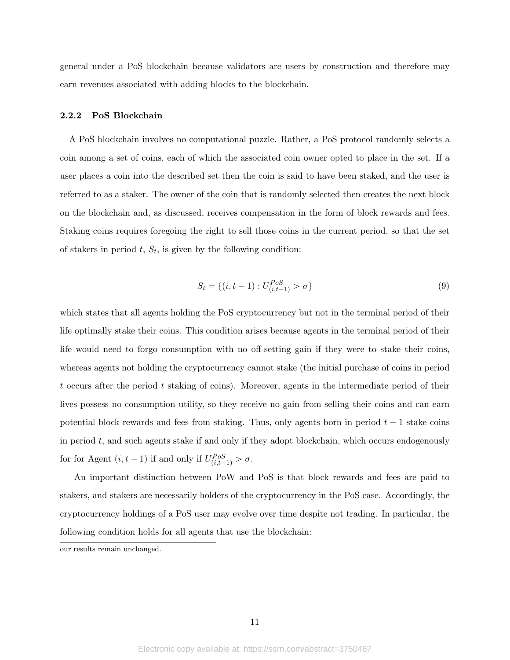general under a PoS blockchain because validators are users by construction and therefore may earn revenues associated with adding blocks to the blockchain.

## 2.2.2 PoS Blockchain

A PoS blockchain involves no computational puzzle. Rather, a PoS protocol randomly selects a coin among a set of coins, each of which the associated coin owner opted to place in the set. If a user places a coin into the described set then the coin is said to have been staked, and the user is referred to as a staker. The owner of the coin that is randomly selected then creates the next block on the blockchain and, as discussed, receives compensation in the form of block rewards and fees. Staking coins requires foregoing the right to sell those coins in the current period, so that the set of stakers in period  $t, S_t$ , is given by the following condition:

$$
S_t = \{(i, t-1) : U_{(i,t-1)}^{Pos} > \sigma\}
$$
\n(9)

which states that all agents holding the PoS cryptocurrency but not in the terminal period of their life optimally stake their coins. This condition arises because agents in the terminal period of their life would need to forgo consumption with no off-setting gain if they were to stake their coins, whereas agents not holding the cryptocurrency cannot stake (the initial purchase of coins in period t occurs after the period t staking of coins). Moreover, agents in the intermediate period of their lives possess no consumption utility, so they receive no gain from selling their coins and can earn potential block rewards and fees from staking. Thus, only agents born in period  $t - 1$  stake coins in period  $t$ , and such agents stake if and only if they adopt blockchain, which occurs endogenously for for Agent  $(i, t - 1)$  if and only if  $U_{(i,t-1)}^{PoS} > \sigma$ .

An important distinction between PoW and PoS is that block rewards and fees are paid to stakers, and stakers are necessarily holders of the cryptocurrency in the PoS case. Accordingly, the cryptocurrency holdings of a PoS user may evolve over time despite not trading. In particular, the following condition holds for all agents that use the blockchain:

our results remain unchanged.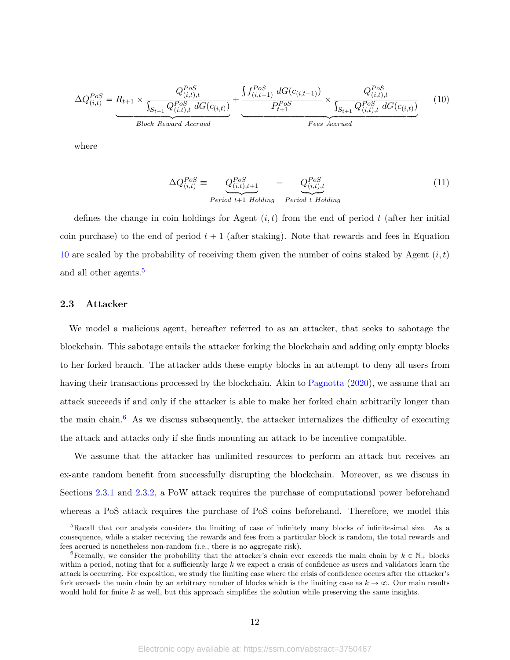<span id="page-12-1"></span>
$$
\Delta Q_{(i,t)}^{Pos} = R_{t+1} \times \frac{Q_{(i,t),t}^{Pos}}{\int_{S_{t+1}} Q_{(i,t),t}^{Pos} dG(c_{(i,t)})} + \underbrace{\frac{\int f_{(i,t-1)}^{Pos} dG(c_{(i,t-1)})}{P_{t+1}^{Pos}} \times \frac{Q_{(i,t),t}^{Pos}}{\int_{S_{t+1}} Q_{(i,t),t}^{Pos} dG(c_{(i,t)})}}_{Fees \text{ Accured}} \tag{10}
$$

where

$$
\Delta Q_{(i,t)}^{Pos} \equiv \underbrace{Q_{(i,t),t+1}^{Pos}}_{Period\ t+1\ Holding} - \underbrace{Q_{(i,t),t}^{Pos}}_{Period\ t\ Holding}
$$
\n(11)

defines the change in coin holdings for Agent  $(i, t)$  from the end of period t (after her initial coin purchase) to the end of period  $t + 1$  (after staking). Note that rewards and fees in Equation [10](#page-12-1) are scaled by the probability of receiving them given the number of coins staked by Agent  $(i, t)$ and all other agents.<sup>[5](#page-12-2)</sup>

## <span id="page-12-0"></span>2.3 Attacker

We model a malicious agent, hereafter referred to as an attacker, that seeks to sabotage the blockchain. This sabotage entails the attacker forking the blockchain and adding only empty blocks to her forked branch. The attacker adds these empty blocks in an attempt to deny all users from having their transactions processed by the blockchain. Akin to [Pagnotta](#page-30-9) [\(2020\)](#page-30-9), we assume that an attack succeeds if and only if the attacker is able to make her forked chain arbitrarily longer than the main chain.<sup>[6](#page-12-3)</sup> As we discuss subsequently, the attacker internalizes the difficulty of executing the attack and attacks only if she finds mounting an attack to be incentive compatible.

We assume that the attacker has unlimited resources to perform an attack but receives an ex-ante random benefit from successfully disrupting the blockchain. Moreover, as we discuss in Sections [2.3.1](#page-14-0) and [2.3.2,](#page-15-0) a PoW attack requires the purchase of computational power beforehand whereas a PoS attack requires the purchase of PoS coins beforehand. Therefore, we model this

<span id="page-12-2"></span><sup>&</sup>lt;sup>5</sup>Recall that our analysis considers the limiting of case of infinitely many blocks of infinitesimal size. As a consequence, while a staker receiving the rewards and fees from a particular block is random, the total rewards and fees accrued is nonetheless non-random (i.e., there is no aggregate risk).

<span id="page-12-3"></span><sup>&</sup>lt;sup>6</sup>Formally, we consider the probability that the attacker's chain ever exceeds the main chain by  $k \in \mathbb{N}_+$  blocks within a period, noting that for a sufficiently large  $k$  we expect a crisis of confidence as users and validators learn the attack is occurring. For exposition, we study the limiting case where the crisis of confidence occurs after the attacker's fork exceeds the main chain by an arbitrary number of blocks which is the limiting case as  $k \to \infty$ . Our main results would hold for finite  $k$  as well, but this approach simplifies the solution while preserving the same insights.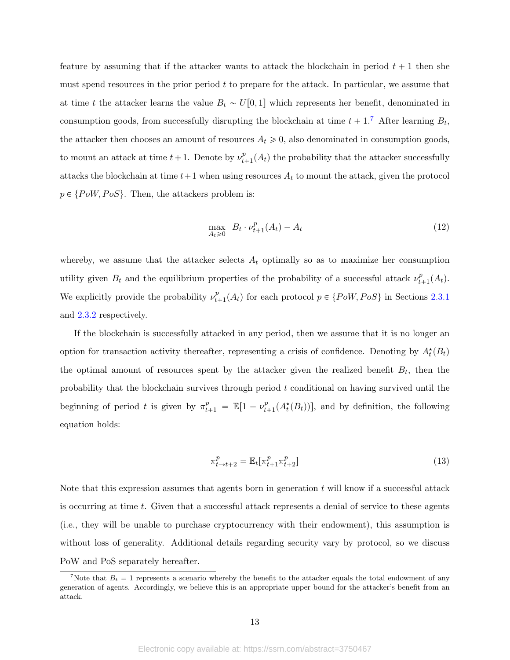feature by assuming that if the attacker wants to attack the blockchain in period  $t + 1$  then she must spend resources in the prior period  $t$  to prepare for the attack. In particular, we assume that at time t the attacker learns the value  $B_t \sim U[0, 1]$  which represents her benefit, denominated in consumption goods, from successfully disrupting the blockchain at time  $t + 1$ .<sup>[7](#page-13-0)</sup> After learning  $B_t$ , the attacker then chooses an amount of resources  $A_t \geq 0$ , also denominated in consumption goods, to mount an attack at time  $t+1$ . Denote by  $\nu_t^p$  $_{t+1}^{p}(A_t)$  the probability that the attacker successfully attacks the blockchain at time  $t+1$  when using resources  $A_t$  to mount the attack, given the protocol  $p \in \{PoW, PoS\}$ . Then, the attackers problem is:

<span id="page-13-1"></span>
$$
\max_{A_t \ge 0} \quad B_t \cdot \nu_{t+1}^p(A_t) - A_t \tag{12}
$$

whereby, we assume that the attacker selects  $A_t$  optimally so as to maximize her consumption utility given  $B_t$  and the equilibrium properties of the probability of a successful attack  $\nu_t^p$ .  $_{t+1}^{p}(A_{t}).$ We explicitly provide the probability  $\nu_t^p$  $_{t+1}^{p}(A_t)$  for each protocol  $p \in \{Pow, Pos\}$  in Sections [2.3.1](#page-14-0) and [2.3.2](#page-15-0) respectively.

If the blockchain is successfully attacked in any period, then we assume that it is no longer an option for transaction activity thereafter, representing a crisis of confidence. Denoting by  $A_t^{\star}(B_t)$ the optimal amount of resources spent by the attacker given the realized benefit  $B_t$ , then the probability that the blockchain survives through period t conditional on having survived until the beginning of period t is given by  $\pi_{t+1}^p = \mathbb{E}[1 - \nu_t^p]$  $_{t+1}^{p}(A_t^{\star}(B_t))$ , and by definition, the following equation holds:

<span id="page-13-2"></span>
$$
\pi_{t \to t+2}^p = \mathbb{E}_t[\pi_{t+1}^p \pi_{t+2}^p]
$$
\n
$$
(13)
$$

Note that this expression assumes that agents born in generation  $t$  will know if a successful attack is occurring at time t. Given that a successful attack represents a denial of service to these agents (i.e., they will be unable to purchase cryptocurrency with their endowment), this assumption is without loss of generality. Additional details regarding security vary by protocol, so we discuss PoW and PoS separately hereafter.

<span id="page-13-0"></span><sup>&</sup>lt;sup>7</sup>Note that  $B_t = 1$  represents a scenario whereby the benefit to the attacker equals the total endowment of any generation of agents. Accordingly, we believe this is an appropriate upper bound for the attacker's benefit from an attack.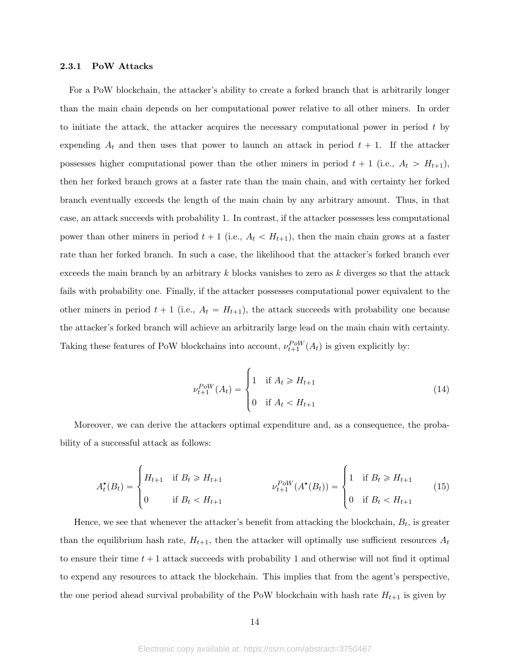## <span id="page-14-0"></span>2.3.1 PoW Attacks

For a PoW blockchain, the attacker's ability to create a forked branch that is arbitrarily longer than the main chain depends on her computational power relative to all other miners. In order to initiate the attack, the attacker acquires the necessary computational power in period  $t$  by expending  $A_t$  and then uses that power to launch an attack in period  $t + 1$ . If the attacker possesses higher computational power than the other miners in period  $t + 1$  (i.e.,  $A_t > H_{t+1}$ ), then her forked branch grows at a faster rate than the main chain, and with certainty her forked branch eventually exceeds the length of the main chain by any arbitrary amount. Thus, in that case, an attack succeeds with probability 1. In contrast, if the attacker possesses less computational power than other miners in period  $t + 1$  (i.e.,  $A_t < H_{t+1}$ ), then the main chain grows at a faster rate than her forked branch. In such a case, the likelihood that the attacker's forked branch ever exceeds the main branch by an arbitrary  $k$  blocks vanishes to zero as  $k$  diverges so that the attack fails with probability one. Finally, if the attacker possesses computational power equivalent to the other miners in period  $t + 1$  (i.e.,  $A_t = H_{t+1}$ ), the attack succeeds with probability one because the attacker's forked branch will achieve an arbitrarily large lead on the main chain with certainty. Taking these features of PoW blockchains into account,  $\nu_{t+1}^{Pow}(A_t)$  is given explicitly by:

$$
\nu_{t+1}^{PoW}(A_t) = \begin{cases} 1 & \text{if } A_t \ge H_{t+1} \\ 0 & \text{if } A_t < H_{t+1} \end{cases} \tag{14}
$$

Moreover, we can derive the attackers optimal expenditure and, as a consequence, the probability of a successful attack as follows:

$$
A_t^{\star}(B_t) = \begin{cases} H_{t+1} & \text{if } B_t \ge H_{t+1} \\ 0 & \text{if } B_t < H_{t+1} \end{cases} \qquad \qquad \nu_{t+1}^{PoW}(A^{\star}(B_t)) = \begin{cases} 1 & \text{if } B_t \ge H_{t+1} \\ 0 & \text{if } B_t < H_{t+1} \end{cases} \tag{15}
$$

Hence, we see that whenever the attacker's benefit from attacking the blockchain,  $B_t$ , is greater than the equilibrium hash rate,  $H_{t+1}$ , then the attacker will optimally use sufficient resources  $A_t$ to ensure their time  $t + 1$  attack succeeds with probability 1 and otherwise will not find it optimal to expend any resources to attack the blockchain. This implies that from the agent's perspective, the one period ahead survival probability of the PoW blockchain with hash rate  $H_{t+1}$  is given by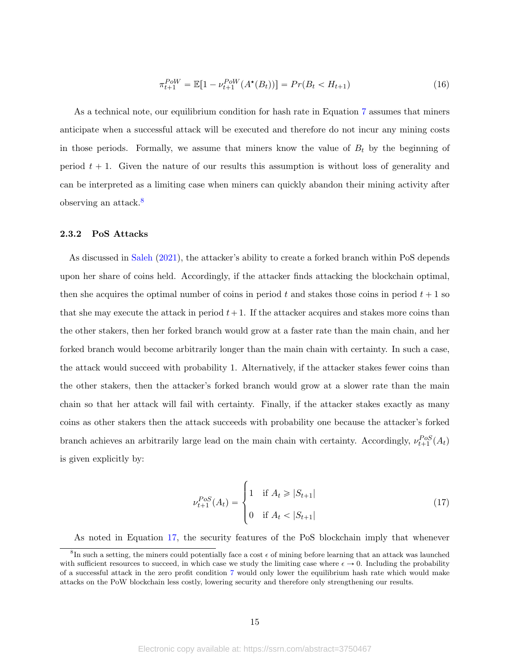<span id="page-15-3"></span>
$$
\pi_{t+1}^{Pow} = \mathbb{E}[1 - \nu_{t+1}^{Pow}(A^\star(B_t))] = Pr(B_t < H_{t+1})\tag{16}
$$

As a technical note, our equilibrium condition for hash rate in Equation [7](#page-10-2) assumes that miners anticipate when a successful attack will be executed and therefore do not incur any mining costs in those periods. Formally, we assume that miners know the value of  $B_t$  by the beginning of period  $t + 1$ . Given the nature of our results this assumption is without loss of generality and can be interpreted as a limiting case when miners can quickly abandon their mining activity after observing an attack.[8](#page-15-1)

## <span id="page-15-0"></span>2.3.2 PoS Attacks

As discussed in [Saleh](#page-30-2) [\(2021\)](#page-30-2), the attacker's ability to create a forked branch within PoS depends upon her share of coins held. Accordingly, if the attacker finds attacking the blockchain optimal, then she acquires the optimal number of coins in period t and stakes those coins in period  $t + 1$  so that she may execute the attack in period  $t+1$ . If the attacker acquires and stakes more coins than the other stakers, then her forked branch would grow at a faster rate than the main chain, and her forked branch would become arbitrarily longer than the main chain with certainty. In such a case, the attack would succeed with probability 1. Alternatively, if the attacker stakes fewer coins than the other stakers, then the attacker's forked branch would grow at a slower rate than the main chain so that her attack will fail with certainty. Finally, if the attacker stakes exactly as many coins as other stakers then the attack succeeds with probability one because the attacker's forked branch achieves an arbitrarily large lead on the main chain with certainty. Accordingly,  $\nu_{t+1}^{Pos}(A_t)$ is given explicitly by:

<span id="page-15-2"></span>
$$
\nu_{t+1}^{PoS}(A_t) = \begin{cases} 1 & \text{if } A_t \ge |S_{t+1}| \\ 0 & \text{if } A_t < |S_{t+1}| \end{cases}
$$
(17)

As noted in Equation [17,](#page-15-2) the security features of the PoS blockchain imply that whenever

<span id="page-15-1"></span> ${}^{8}$ In such a setting, the miners could potentially face a cost  $\epsilon$  of mining before learning that an attack was launched with sufficient resources to succeed, in which case we study the limiting case where  $\epsilon \to 0$ . Including the probability of a successful attack in the zero profit condition [7](#page-10-2) would only lower the equilibrium hash rate which would make attacks on the PoW blockchain less costly, lowering security and therefore only strengthening our results.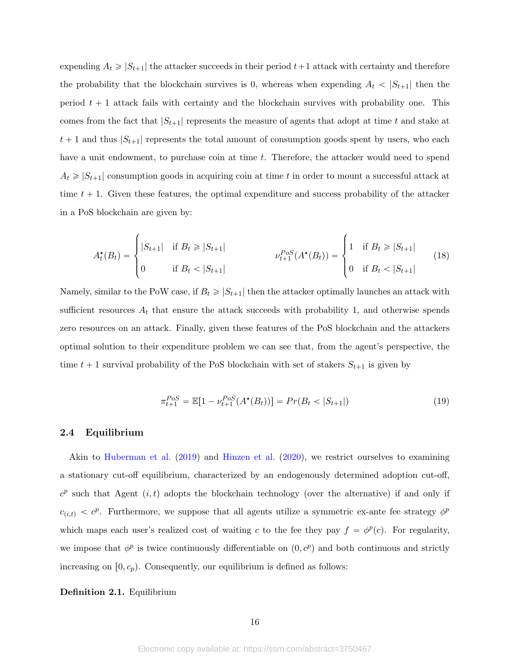expending  $A_t \geqslant |S_{t+1}|$  the attacker succeeds in their period  $t+1$  attack with certainty and therefore the probability that the blockchain survives is 0, whereas when expending  $A_t < |S_{t+1}|$  then the period  $t + 1$  attack fails with certainty and the blockchain survives with probability one. This comes from the fact that  $|S_{t+1}|$  represents the measure of agents that adopt at time t and stake at  $t + 1$  and thus  $|S_{t+1}|$  represents the total amount of consumption goods spent by users, who each have a unit endowment, to purchase coin at time t. Therefore, the attacker would need to spend  $A_t \geq |S_{t+1}|$  consumption goods in acquiring coin at time t in order to mount a successful attack at time  $t + 1$ . Given these features, the optimal expenditure and success probability of the attacker in a PoS blockchain are given by:

$$
A_t^{\star}(B_t) = \begin{cases} |S_{t+1}| & \text{if } B_t \geq |S_{t+1}| \\ 0 & \text{if } B_t < |S_{t+1}| \end{cases} \qquad \qquad \nu_{t+1}^{Pos}(A^{\star}(B_t)) = \begin{cases} 1 & \text{if } B_t \geq |S_{t+1}| \\ 0 & \text{if } B_t < |S_{t+1}| \end{cases} \tag{18}
$$

Namely, similar to the PoW case, if  $B_t \geq |S_{t+1}|$  then the attacker optimally launches an attack with sufficient resources  $A_t$  that ensure the attack succeeds with probability 1, and otherwise spends zero resources on an attack. Finally, given these features of the PoS blockchain and the attackers optimal solution to their expenditure problem we can see that, from the agent's perspective, the time  $t + 1$  survival probability of the PoS blockchain with set of stakers  $S_{t+1}$  is given by

<span id="page-16-0"></span>
$$
\pi_{t+1}^{Pos} = \mathbb{E}[1 - \nu_{t+1}^{Pos}(A^\star(B_t))] = Pr(B_t < |S_{t+1}|) \tag{19}
$$

#### 2.4 Equilibrium

Akin to [Huberman et al.](#page-30-3) [\(2019\)](#page-30-3) and [Hinzen et al.](#page-30-6) [\(2020\)](#page-30-6), we restrict ourselves to examining a stationary cut-off equilibrium, characterized by an endogenously determined adoption cut-off,  $c^p$  such that Agent  $(i, t)$  adopts the blockchain technology (over the alternative) if and only if  $c_{(i,t)} < c^p$ . Furthermore, we suppose that all agents utilize a symmetric ex-ante fee strategy  $\phi^p$ which maps each user's realized cost of waiting c to the fee they pay  $f = \phi^p(c)$ . For regularity, we impose that  $\phi^p$  is twice continuously differentiable on  $(0, c^p)$  and both continuous and strictly increasing on  $[0, c_p)$ . Consequently, our equilibrium is defined as follows:

### Definition 2.1. Equilibrium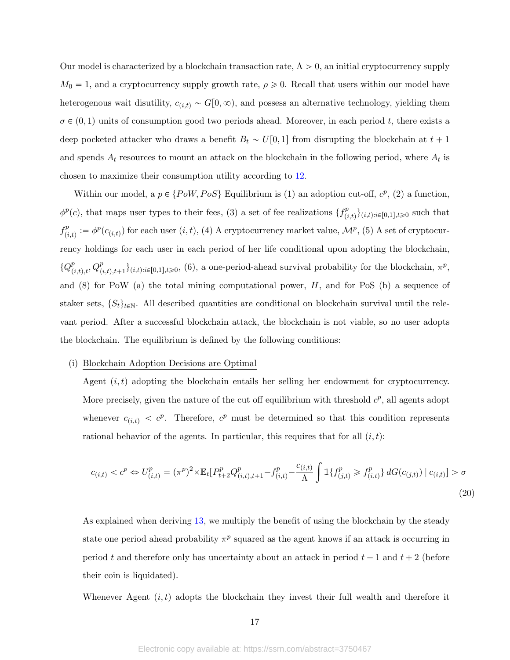Our model is characterized by a blockchain transaction rate,  $\Lambda > 0$ , an initial cryptocurrency supply  $M_0 = 1$ , and a cryptocurrency supply growth rate,  $\rho \geq 0$ . Recall that users within our model have heterogenous wait disutility,  $c_{(i,t)} \sim G[0, \infty)$ , and possess an alternative technology, yielding them  $\sigma \in (0, 1)$  units of consumption good two periods ahead. Moreover, in each period t, there exists a deep pocketed attacker who draws a benefit  $B_t \sim U[0, 1]$  from disrupting the blockchain at  $t + 1$ and spends  $A_t$  resources to mount an attack on the blockchain in the following period, where  $A_t$  is chosen to maximize their consumption utility according to [12.](#page-13-1)

Within our model, a  $p \in \{PoW, PoS\}$  Equilibrium is (1) an adoption cut-off,  $c^p$ , (2) a function,  $\phi^p(c)$ , that maps user types to their fees, (3) a set of fee realizations  $\{f^p_{ij}\}$  $\{p_{(i,t)}^p\}_{(i,t):i\in[0,1],t\geqslant0}$  such that  $f^p_{\alpha}$  $p_{(i,t)}^p := \phi^p(c_{(i,t)})$  for each user  $(i,t)$ , (4) A cryptocurrency market value,  $\mathcal{M}^p$ , (5) A set of cryptocurrency holdings for each user in each period of her life conditional upon adopting the blockchain,  ${Q}_{(i,t),t}^p, Q_{(i,t),t+1}^p\}_{(i,t):i\in[0,1],t\geq0}$ , (6), a one-period-ahead survival probability for the blockchain,  $\pi^p$ , and  $(8)$  for PoW  $(a)$  the total mining computational power,  $H$ , and for PoS  $(b)$  a sequence of staker sets,  $\{S_t\}_{t\in\mathbb{N}}$ . All described quantities are conditional on blockchain survival until the relevant period. After a successful blockchain attack, the blockchain is not viable, so no user adopts the blockchain. The equilibrium is defined by the following conditions:

### (i) Blockchain Adoption Decisions are Optimal

Agent  $(i, t)$  adopting the blockchain entails her selling her endowment for cryptocurrency. More precisely, given the nature of the cut off equilibrium with threshold  $c^p$ , all agents adopt whenever  $c_{(i,t)} < c^p$ . Therefore,  $c^p$  must be determined so that this condition represents rational behavior of the agents. In particular, this requires that for all  $(i, t)$ :

$$
c_{(i,t)} < c^p \Leftrightarrow U_{(i,t)}^p = (\pi^p)^2 \times \mathbb{E}_t [P_{t+2}^p Q_{(i,t),t+1}^p - f_{(i,t)}^p - \frac{c_{(i,t)}}{\Lambda} \int \mathbb{1} \{ f_{(j,t)}^p \ge f_{(i,t)}^p \} dG(c_{(j,t)}) | c_{(i,t)}] > \sigma
$$
\n(20)

As explained when deriving [13,](#page-13-2) we multiply the benefit of using the blockchain by the steady state one period ahead probability  $\pi^p$  squared as the agent knows if an attack is occurring in period t and therefore only has uncertainty about an attack in period  $t + 1$  and  $t + 2$  (before their coin is liquidated).

Whenever Agent  $(i, t)$  adopts the blockchain they invest their full wealth and therefore it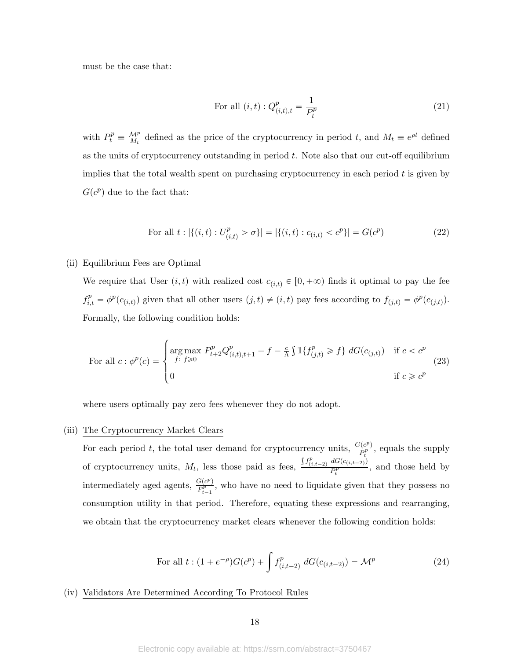must be the case that:

<span id="page-18-1"></span>For all 
$$
(i, t) : Q_{(i,t),t}^p = \frac{1}{P_t^p}
$$
 (21)

with  $P_t^p \equiv \frac{M^p}{M_t}$  defined as the price of the cryptocurrency in period t, and  $M_t \equiv e^{\rho t}$  defined as the units of cryptocurrency outstanding in period  $t$ . Note also that our cut-off equilibrium implies that the total wealth spent on purchasing cryptocurrency in each period  $t$  is given by  $G(c^p)$  due to the fact that:

For all 
$$
t : |\{(i, t) : U_{(i,t)}^p > \sigma\}| = |\{(i, t) : c_{(i,t)} < c^p\}| = G(c^p)
$$
 (22)

## (ii) Equilibrium Fees are Optimal

We require that User  $(i, t)$  with realized cost  $c_{i,t} \in [0, +\infty)$  finds it optimal to pay the fee  $f_{i,t}^p = \phi^p(c_{(i,t)})$  given that all other users  $(j,t) \neq (i,t)$  pay fees according to  $f_{(j,t)} = \phi^p(c_{(j,t)})$ . Formally, the following condition holds:

For all 
$$
c : \phi^p(c) = \begin{cases} \arg \max_{f: f \ge 0} P_{t+2}^p Q_{(i,t),t+1}^p - f - \frac{c}{\Lambda} \int \mathbb{1} \{ f_{(j,t)}^p \ge f \} dG(c_{(j,t)}) & \text{if } c < c^p \\ 0 & \text{if } c \ge c^p \end{cases}
$$
 (23)

where users optimally pay zero fees whenever they do not adopt.

## (iii) The Cryptocurrency Market Clears

For each period t, the total user demand for cryptocurrency units,  $\frac{G(c^p)}{P^p}$  $\frac{P_t^{(C^r)}}{P_t^p}$ , equals the supply of cryptocurrency units,  $M_t$ , less those paid as fees,  $f^p_{(i,t-2)} dG(c_{(i,t-2)})$  $\frac{dS(e(t,t-2))}{dt}$ , and those held by intermediately aged agents,  $\frac{G(c^p)}{P^p}$  $\frac{P_t^{(C)}}{P_{t-1}^p}$ , who have no need to liquidate given that they possess no consumption utility in that period. Therefore, equating these expressions and rearranging, we obtain that the cryptocurrency market clears whenever the following condition holds:

<span id="page-18-0"></span>For all 
$$
t : (1 + e^{-\rho})G(c^p) + \int f^p_{(i,t-2)} dG(c_{(i,t-2)}) = \mathcal{M}^p
$$
 (24)

(iv) Validators Are Determined According To Protocol Rules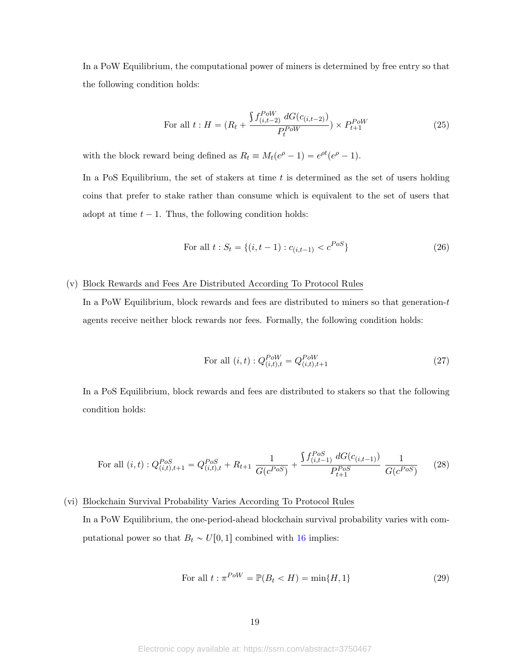In a PoW Equilibrium, the computational power of miners is determined by free entry so that the following condition holds:

<span id="page-19-1"></span>For all 
$$
t: H = (R_t + \frac{\int f_{(i,t-2)}^{Pow} dG(c_{(i,t-2)})}{P_t^{Pow}}) \times P_{t+1}^{Pow}
$$
 (25)

with the block reward being defined as  $R_t \equiv M_t(e^{\rho} - 1) = e^{\rho t}(e^{\rho} - 1)$ .

In a PoS Equilibrium, the set of stakers at time  $t$  is determined as the set of users holding coins that prefer to stake rather than consume which is equivalent to the set of users that adopt at time  $t - 1$ . Thus, the following condition holds:

<span id="page-19-0"></span>For all 
$$
t: S_t = \{(i, t-1) : c_{(i,t-1)} < c^{PoS}\}\
$$
 (26)

## (v) Block Rewards and Fees Are Distributed According To Protocol Rules

In a PoW Equilibrium, block rewards and fees are distributed to miners so that generation- $t$ agents receive neither block rewards nor fees. Formally, the following condition holds:

<span id="page-19-3"></span>For all 
$$
(i, t) : Q_{(i,t),t}^{PoW} = Q_{(i,t),t+1}^{PoW}
$$
 (27)

In a PoS Equilibrium, block rewards and fees are distributed to stakers so that the following condition holds:

<span id="page-19-4"></span>For all 
$$
(i, t) : Q_{(i,t),t+1}^{Pos} = Q_{(i,t),t}^{Pos} + R_{t+1} \frac{1}{G(c^{Pos})} + \frac{\int f_{(i,t-1)}^{Pos} dG(c_{(i,t-1)})}{P_{t+1}^{Pos}} \frac{1}{G(c^{Pos})}
$$
 (28)

# (vi) Blockchain Survival Probability Varies According To Protocol Rules In a PoW Equilibrium, the one-period-ahead blockchain survival probability varies with com-

putational power so that  $B_t \sim U[0, 1]$  combined with [16](#page-15-3) implies:

<span id="page-19-2"></span>
$$
\text{For all } t: \pi^{PoW} = \mathbb{P}(B_t < H) = \min\{H, 1\} \tag{29}
$$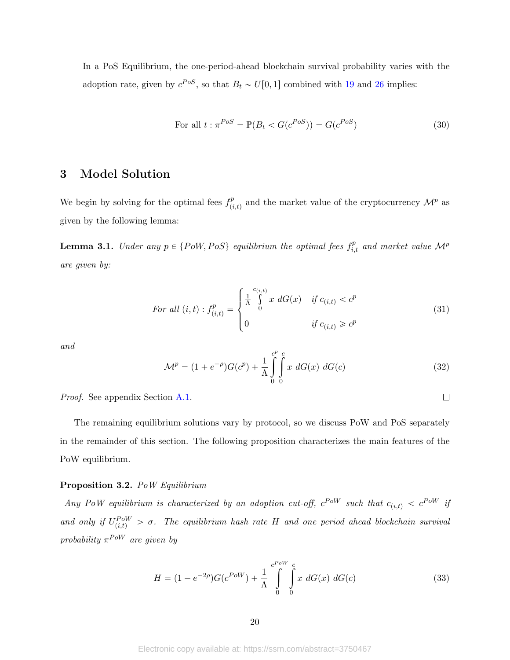In a PoS Equilibrium, the one-period-ahead blockchain survival probability varies with the adoption rate, given by  $c^{Pos}$ , so that  $B_t \sim U[0, 1]$  combined with [19](#page-16-0) and [26](#page-19-0) implies:

<span id="page-20-5"></span>
$$
\text{For all } t: \pi^{PoS} = \mathbb{P}(B_t < G(c^{PoS})) = G(c^{PoS}) \tag{30}
$$

## 3 Model Solution

We begin by solving for the optimal fees  $f_{\ell}^p$  $p_{(i,t)}^p$  and the market value of the cryptocurrency  $\mathcal{M}^p$  as given by the following lemma:

<span id="page-20-3"></span>**Lemma 3.1.** Under any  $p \in \{PoW, PoS\}$  equilibrium the optimal fees  $f_{i,t}^p$  and market value  $\mathcal{M}^p$ are given by:

<span id="page-20-0"></span>
$$
For\ all\ (i,t): f_{(i,t)}^p = \begin{cases} \frac{1}{\Lambda} \int_0^{c_{(i,t)}} x \ dG(x) & if\ c_{(i,t)} < c^p\\ 0 & if\ c_{(i,t)} \geq c^p \end{cases} \tag{31}
$$

and

<span id="page-20-1"></span>
$$
\mathcal{M}^p = (1 + e^{-\rho})G(c^p) + \frac{1}{\Lambda} \int_{0}^{c^p} \int_{0}^{c} x \, dG(x) \, dG(c) \tag{32}
$$

 $\Box$ 

Proof. See appendix Section [A.1.](#page-31-0)

The remaining equilibrium solutions vary by protocol, so we discuss PoW and PoS separately in the remainder of this section. The following proposition characterizes the main features of the PoW equilibrium.

## <span id="page-20-4"></span>Proposition 3.2. PoW Equilibrium

Any PoW equilibrium is characterized by an adoption cut-off,  $c^{Pow}$  such that  $c_{(i,t)} < c^{Pow}$  if and only if  $U_{(i,t)}^{Pow} > \sigma$ . The equilibrium hash rate H and one period ahead blockchain survival probability  $\pi^{Pow}$  are given by

<span id="page-20-2"></span>
$$
H = (1 - e^{-2\rho})G(c^{Pow}) + \frac{1}{\Lambda} \int_{0}^{c^{Pow}} \int_{0}^{c} x \ dG(x) \ dG(c)
$$
 (33)

Electronic copy available at: https://ssrn.com/abstract=3750467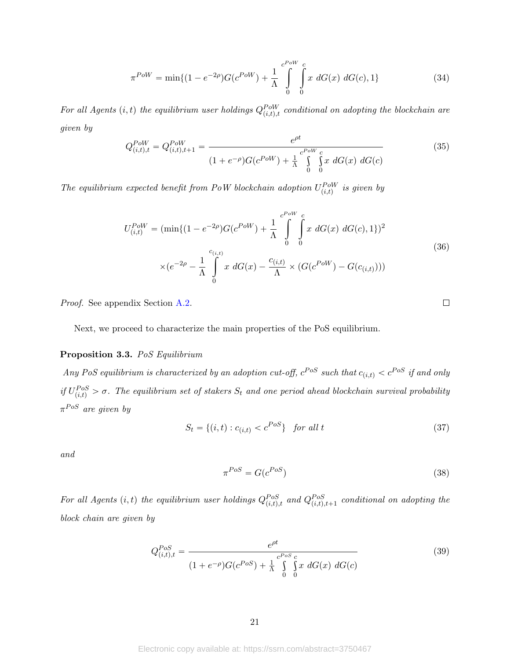<span id="page-21-2"></span>
$$
\pi^{Pow} = \min\{(1 - e^{-2\rho})G(e^{Pow}) + \frac{1}{\Lambda} \int_{0}^{e^{Pow}} \int_{0}^{c} x \ dG(x) \ dG(c), 1\}
$$
\n(34)

For all Agents  $(i, t)$  the equilibrium user holdings  $Q_{(i,t),t}^{Pow}$  conditional on adopting the blockchain are given by

<span id="page-21-1"></span>
$$
Q_{(i,t),t}^{PoW} = Q_{(i,t),t+1}^{PoW} = \frac{e^{\rho t}}{(1 + e^{-\rho})G(e^{PoW}) + \frac{1}{\Lambda} \int_{0}^{cPoW} \int_{0}^{c} x \ dG(x) \ dG(c)}
$$
(35)

<span id="page-21-3"></span>The equilibrium expected benefit from PoW blockchain adoption  $U_{(i,t)}^{PoW}$  is given by

$$
U_{(i,t)}^{PoW} = (\min\{(1 - e^{-2\rho})G(e^{PoW}) + \frac{1}{\Lambda} \int_{0}^{e^{PoW}} \int_{0}^{c} x \ dG(x) \ dG(c), 1\})^2
$$
  
 
$$
\times (e^{-2\rho} - \frac{1}{\Lambda} \int_{0}^{c_{(i,t)}} x \ dG(x) - \frac{c_{(i,t)}}{\Lambda} \times (G(e^{PoW}) - G(c_{(i,t)})))
$$
 (36)

Proof. See appendix Section [A.2.](#page-32-0)

Next, we proceed to characterize the main properties of the PoS equilibrium.

## <span id="page-21-4"></span>Proposition 3.3. PoS Equilibrium

Any PoS equilibrium is characterized by an adoption cut-off,  $c^{Pos}$  such that  $c_{(i,t)} < c^{Pos}$  if and only if  $U_{(i,t)}^{Pos} > \sigma$ . The equilibrium set of stakers  $S_t$  and one period ahead blockchain survival probability  $\pi^{PoS}$  are given by

<span id="page-21-5"></span>
$$
S_t = \{(i, t) : c_{(i,t)} < c^{Pos}\} \quad \text{for all } t \tag{37}
$$

and

<span id="page-21-0"></span>
$$
\pi^{PoS} = G(c^{PoS}) \tag{38}
$$

 $\Box$ 

For all Agents  $(i, t)$  the equilibrium user holdings  $Q_{(i,t),t}^{Pos}$  and  $Q_{(i,t),t+1}^{Pos}$  conditional on adopting the block chain are given by

<span id="page-21-6"></span>
$$
Q_{(i,t),t}^{PoS} = \frac{e^{\rho t}}{(1 + e^{-\rho})G(c^{PoS}) + \frac{1}{\Lambda} \int_{0}^{c^{PoS} c} \int_{0}^{x} x \, dG(x) \, dG(c)}
$$
(39)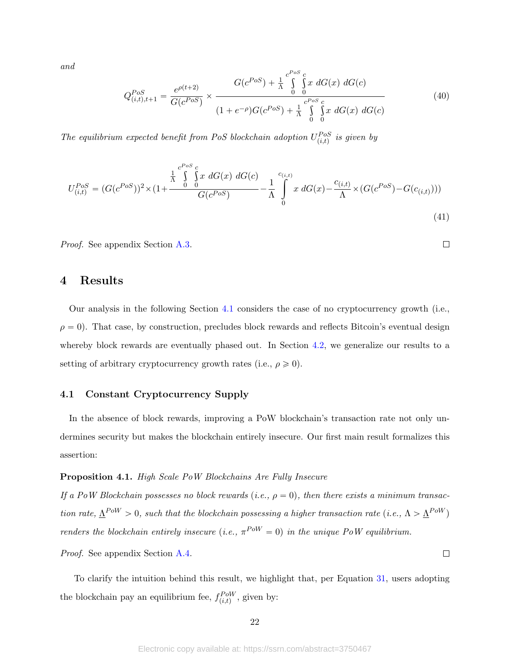and

<span id="page-22-2"></span>
$$
Q_{(i,t),t+1}^{PoS} = \frac{e^{\rho(t+2)}}{G(c^{PoS})} \times \frac{G(c^{PoS}) + \frac{1}{\Lambda} \int_{0}^{c^{PoS}} \int_{0}^{c} x \ dG(x) \ dG(c)}{(1 + e^{-\rho})G(c^{PoS}) + \frac{1}{\Lambda} \int_{0}^{c^{PoS}} \int_{0}^{c} x \ dG(x) \ dG(c)}
$$
(40)

<span id="page-22-3"></span> $\Box$ 

 $\Box$ 

The equilibrium expected benefit from PoS blockchain adoption  $U_{(i,t)}^{Pos}$  is given by

$$
U_{(i,t)}^{Pos} = (G(c^{Pos}))^2 \times (1 + \frac{\frac{1}{\Lambda} \int_{0}^{c^{Pos} c} x \ dG(x) \ dG(c)}{G(c^{Pos})} - \frac{1}{\Lambda} \int_{0}^{c_{(i,t)}} x \ dG(x) - \frac{c_{(i,t)}}{\Lambda} \times (G(c^{Pos}) - G(c_{(i,t)})))
$$
\n(41)

Proof. See appendix Section [A.3.](#page-33-0)

## 4 Results

Our analysis in the following Section [4.1](#page-22-1) considers the case of no cryptocurrency growth (i.e.,  $\rho = 0$ ). That case, by construction, precludes block rewards and reflects Bitcoin's eventual design whereby block rewards are eventually phased out. In Section [4.2,](#page-25-1) we generalize our results to a setting of arbitrary cryptocurrency growth rates (i.e.,  $\rho \geq 0$ ).

## <span id="page-22-1"></span>4.1 Constant Cryptocurrency Supply

In the absence of block rewards, improving a PoW blockchain's transaction rate not only undermines security but makes the blockchain entirely insecure. Our first main result formalizes this assertion:

#### <span id="page-22-0"></span>Proposition 4.1. High Scale PoW Blockchains Are Fully Insecure

If a PoW Blockchain possesses no block rewards (i.e.,  $\rho = 0$ ), then there exists a minimum transaction rate,  $\Delta^{PoW} > 0$ , such that the blockchain possessing a higher transaction rate (i.e.,  $\Lambda > \Delta^{PoW}$ ) renders the blockchain entirely insecure (i.e.,  $\pi^{Pow} = 0$ ) in the unique PoW equilibrium.

Proof. See appendix Section [A.4.](#page-33-1)

To clarify the intuition behind this result, we highlight that, per Equation [31,](#page-20-0) users adopting the blockchain pay an equilibrium fee,  $f_{(i,t)}^{PoW}$ , given by: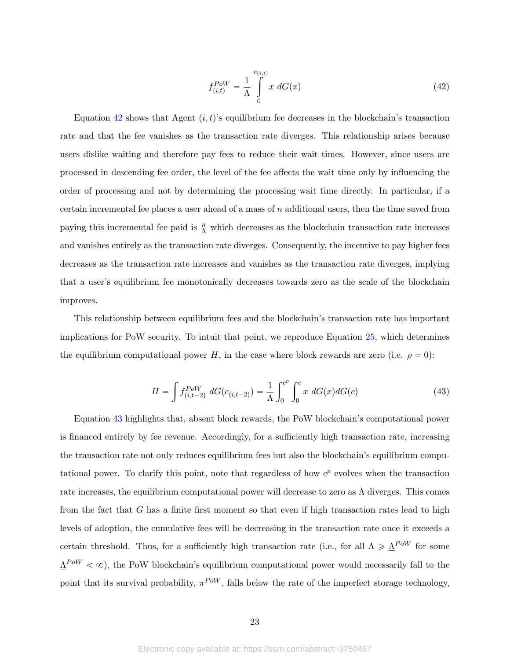<span id="page-23-0"></span>
$$
f_{(i,t)}^{PoW} = \frac{1}{\Lambda} \int_{0}^{c_{(i,t)}} x \, dG(x) \tag{42}
$$

Equation [42](#page-23-0) shows that Agent  $(i, t)$ 's equilibrium fee decreases in the blockchain's transaction rate and that the fee vanishes as the transaction rate diverges. This relationship arises because users dislike waiting and therefore pay fees to reduce their wait times. However, since users are processed in descending fee order, the level of the fee affects the wait time only by influencing the order of processing and not by determining the processing wait time directly. In particular, if a certain incremental fee places a user ahead of a mass of  $n$  additional users, then the time saved from paying this incremental fee paid is  $\frac{n}{\Lambda}$  which decreases as the blockchain transaction rate increases and vanishes entirely as the transaction rate diverges. Consequently, the incentive to pay higher fees decreases as the transaction rate increases and vanishes as the transaction rate diverges, implying that a user's equilibrium fee monotonically decreases towards zero as the scale of the blockchain improves.

This relationship between equilibrium fees and the blockchain's transaction rate has important implications for PoW security. To intuit that point, we reproduce Equation [25,](#page-19-1) which determines the equilibrium computational power H, in the case where block rewards are zero (i.e.  $\rho = 0$ ):

<span id="page-23-1"></span>
$$
H = \int f_{(i,t-2)}^{PoW} dG(c_{(i,t-2)}) = \frac{1}{\Lambda} \int_0^{c^p} \int_0^c x \ dG(x) dG(c)
$$
 (43)

Equation [43](#page-23-1) highlights that, absent block rewards, the PoW blockchain's computational power is financed entirely by fee revenue. Accordingly, for a sufficiently high transaction rate, increasing the transaction rate not only reduces equilibrium fees but also the blockchain's equilibrium computational power. To clarify this point, note that regardless of how  $c^p$  evolves when the transaction rate increases, the equilibrium computational power will decrease to zero as  $\Lambda$  diverges. This comes from the fact that G has a finite first moment so that even if high transaction rates lead to high levels of adoption, the cumulative fees will be decreasing in the transaction rate once it exceeds a certain threshold. Thus, for a sufficiently high transaction rate (i.e., for all  $\Lambda \geq \underline{\Lambda}^{PoW}$  for some  $\Delta^{PoW} < \infty$ ), the PoW blockchain's equilibrium computational power would necessarily fall to the point that its survival probability,  $\pi^{PoW}$ , falls below the rate of the imperfect storage technology,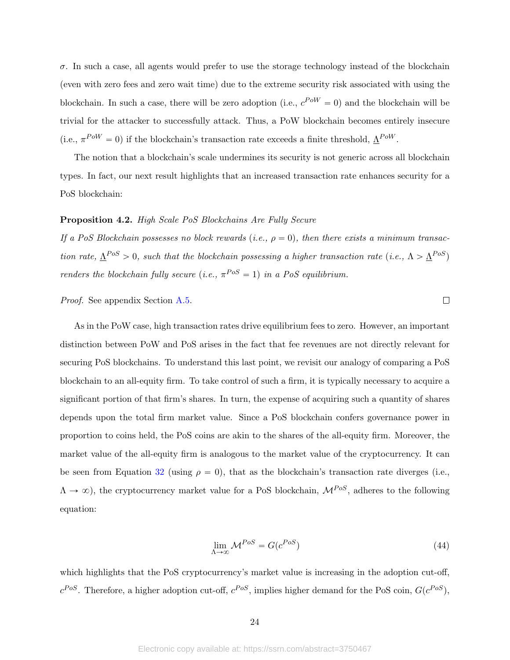$\sigma$ . In such a case, all agents would prefer to use the storage technology instead of the blockchain (even with zero fees and zero wait time) due to the extreme security risk associated with using the blockchain. In such a case, there will be zero adoption (i.e.,  $c^{PoW} = 0$ ) and the blockchain will be trivial for the attacker to successfully attack. Thus, a PoW blockchain becomes entirely insecure (i.e.,  $\pi^{PoW} = 0$ ) if the blockchain's transaction rate exceeds a finite threshold,  $\Delta^{PoW}$ .

The notion that a blockchain's scale undermines its security is not generic across all blockchain types. In fact, our next result highlights that an increased transaction rate enhances security for a PoS blockchain:

#### <span id="page-24-0"></span>Proposition 4.2. High Scale PoS Blockchains Are Fully Secure

If a PoS Blockchain possesses no block rewards (i.e.,  $\rho = 0$ ), then there exists a minimum transaction rate,  $\underline{\Lambda}^{Pos} > 0$ , such that the blockchain possessing a higher transaction rate (i.e.,  $\Lambda > \underline{\Lambda}^{Pos}$ ) renders the blockchain fully secure (i.e.,  $\pi^{Pos} = 1$ ) in a PoS equilibrium.

Proof. See appendix Section [A.5.](#page-34-0)

As in the PoW case, high transaction rates drive equilibrium fees to zero. However, an important distinction between PoW and PoS arises in the fact that fee revenues are not directly relevant for securing PoS blockchains. To understand this last point, we revisit our analogy of comparing a PoS blockchain to an all-equity firm. To take control of such a firm, it is typically necessary to acquire a significant portion of that firm's shares. In turn, the expense of acquiring such a quantity of shares depends upon the total firm market value. Since a PoS blockchain confers governance power in proportion to coins held, the PoS coins are akin to the shares of the all-equity firm. Moreover, the market value of the all-equity firm is analogous to the market value of the cryptocurrency. It can be seen from Equation [32](#page-20-1) (using  $\rho = 0$ ), that as the blockchain's transaction rate diverges (i.e.,  $\Lambda \to \infty$ ), the cryptocurrency market value for a PoS blockchain,  $\mathcal{M}^{Pos}$ , adheres to the following equation:

$$
\lim_{\Lambda \to \infty} \mathcal{M}^{PoS} = G(c^{PoS}) \tag{44}
$$

 $\Box$ 

which highlights that the PoS cryptocurrency's market value is increasing in the adoption cut-off,  $c^{Pos}$ . Therefore, a higher adoption cut-off,  $c^{Pos}$ , implies higher demand for the PoS coin,  $G(c^{Pos})$ ,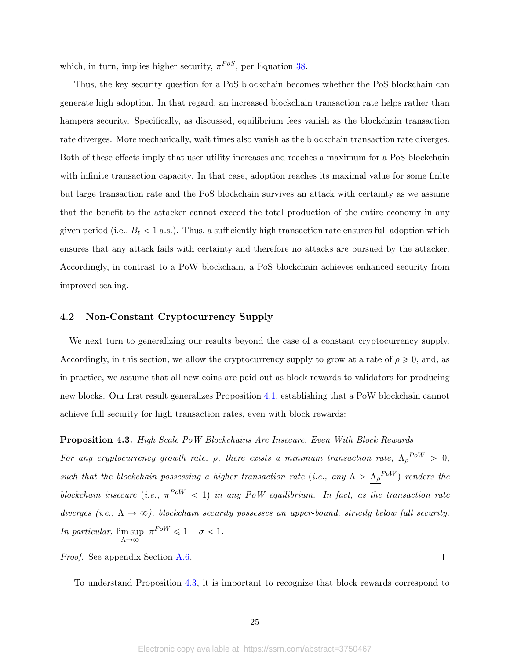which, in turn, implies higher security,  $\pi^{Pos}$ , per Equation [38.](#page-21-0)

Thus, the key security question for a PoS blockchain becomes whether the PoS blockchain can generate high adoption. In that regard, an increased blockchain transaction rate helps rather than hampers security. Specifically, as discussed, equilibrium fees vanish as the blockchain transaction rate diverges. More mechanically, wait times also vanish as the blockchain transaction rate diverges. Both of these effects imply that user utility increases and reaches a maximum for a PoS blockchain with infinite transaction capacity. In that case, adoption reaches its maximal value for some finite but large transaction rate and the PoS blockchain survives an attack with certainty as we assume that the benefit to the attacker cannot exceed the total production of the entire economy in any given period (i.e.,  $B_t < 1$  a.s.). Thus, a sufficiently high transaction rate ensures full adoption which ensures that any attack fails with certainty and therefore no attacks are pursued by the attacker. Accordingly, in contrast to a PoW blockchain, a PoS blockchain achieves enhanced security from improved scaling.

## <span id="page-25-1"></span>4.2 Non-Constant Cryptocurrency Supply

We next turn to generalizing our results beyond the case of a constant cryptocurrency supply. Accordingly, in this section, we allow the cryptocurrency supply to grow at a rate of  $\rho \geqslant 0$ , and, as in practice, we assume that all new coins are paid out as block rewards to validators for producing new blocks. Our first result generalizes Proposition [4.1,](#page-22-0) establishing that a PoW blockchain cannot achieve full security for high transaction rates, even with block rewards:

#### <span id="page-25-0"></span>Proposition 4.3. High Scale PoW Blockchains Are Insecure, Even With Block Rewards

For any cryptocurrency growth rate,  $\rho$ , there exists a minimum transaction rate,  $\Lambda_{\rho}^{PoW} > 0$ , such that the blockchain possessing a higher transaction rate (i.e., any  $\Lambda > \Lambda_\rho{}^{Pow}$ ) renders the blockchain insecure (i.e.,  $\pi^{Pow}$  < 1) in any PoW equilibrium. In fact, as the transaction rate diverges (i.e.,  $\Lambda \to \infty$ ), blockchain security possesses an upper-bound, strictly below full security. In particular, lim sup  $\Lambda \rightarrow \infty$  $\pi^{PoW} \leq 1 - \sigma < 1.$ 

Proof. See appendix Section [A.6.](#page-34-1)

To understand Proposition [4.3,](#page-25-0) it is important to recognize that block rewards correspond to

 $\Box$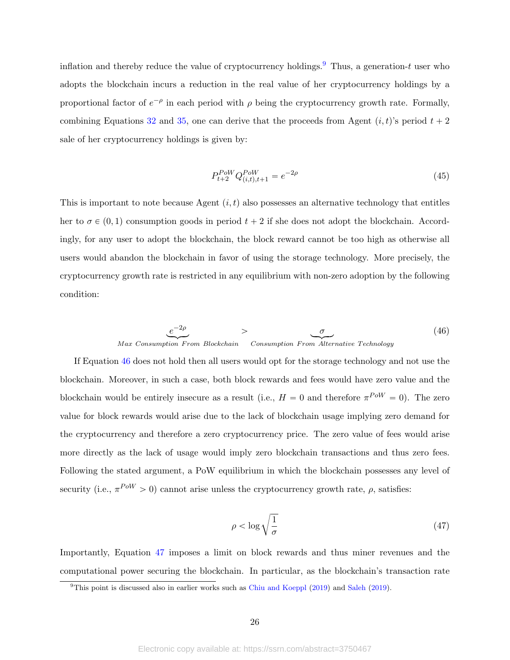inflation and thereby reduce the value of cryptocurrency holdings.<sup>[9](#page-26-0)</sup> Thus, a generation-t user who adopts the blockchain incurs a reduction in the real value of her cryptocurrency holdings by a proportional factor of  $e^{-\rho}$  in each period with  $\rho$  being the cryptocurrency growth rate. Formally, combining Equations [32](#page-20-1) and [35,](#page-21-1) one can derive that the proceeds from Agent  $(i, t)$ 's period  $t + 2$ sale of her cryptocurrency holdings is given by:

$$
P_{t+2}^{Pow} Q_{(i,t),t+1}^{Pow} = e^{-2\rho} \tag{45}
$$

This is important to note because Agent  $(i, t)$  also possesses an alternative technology that entitles her to  $\sigma \in (0, 1)$  consumption goods in period  $t + 2$  if she does not adopt the blockchain. Accordingly, for any user to adopt the blockchain, the block reward cannot be too high as otherwise all users would abandon the blockchain in favor of using the storage technology. More precisely, the cryptocurrency growth rate is restricted in any equilibrium with non-zero adoption by the following condition:

<span id="page-26-1"></span>
$$
\underbrace{e^{-2\rho}}_{\text{Max Consumption From Blockchain}} > \underbrace{\sigma}_{\text{Consumption From Alternative Technology}} \tag{46}
$$

If Equation [46](#page-26-1) does not hold then all users would opt for the storage technology and not use the blockchain. Moreover, in such a case, both block rewards and fees would have zero value and the blockchain would be entirely insecure as a result (i.e.,  $H = 0$  and therefore  $\pi^{PoW} = 0$ ). The zero value for block rewards would arise due to the lack of blockchain usage implying zero demand for the cryptocurrency and therefore a zero cryptocurrency price. The zero value of fees would arise more directly as the lack of usage would imply zero blockchain transactions and thus zero fees. Following the stated argument, a PoW equilibrium in which the blockchain possesses any level of security (i.e.,  $\pi^{Pow} > 0$ ) cannot arise unless the cryptocurrency growth rate,  $\rho$ , satisfies:

<span id="page-26-2"></span>
$$
\rho < \log \sqrt{\frac{1}{\sigma}} \tag{47}
$$

Importantly, Equation [47](#page-26-2) imposes a limit on block rewards and thus miner revenues and the computational power securing the blockchain. In particular, as the blockchain's transaction rate

<span id="page-26-0"></span> $9$ This point is discussed also in earlier works such as [Chiu and Koeppl](#page-29-2) [\(2019\)](#page-30-11) and [Saleh](#page-30-11) (2019).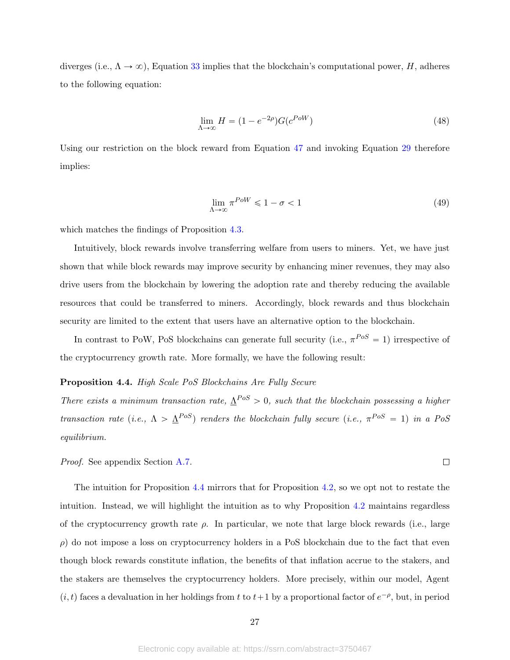diverges (i.e.,  $\Lambda \to \infty$ ), Equation [33](#page-20-2) implies that the blockchain's computational power, H, adheres to the following equation:

$$
\lim_{\Lambda \to \infty} H = (1 - e^{-2\rho}) G(e^{PoW}) \tag{48}
$$

Using our restriction on the block reward from Equation [47](#page-26-2) and invoking Equation [29](#page-19-2) therefore implies:

$$
\lim_{\Lambda \to \infty} \pi^{Pow} \leqslant 1 - \sigma < 1 \tag{49}
$$

 $\Box$ 

which matches the findings of Proposition [4.3.](#page-25-0)

Intuitively, block rewards involve transferring welfare from users to miners. Yet, we have just shown that while block rewards may improve security by enhancing miner revenues, they may also drive users from the blockchain by lowering the adoption rate and thereby reducing the available resources that could be transferred to miners. Accordingly, block rewards and thus blockchain security are limited to the extent that users have an alternative option to the blockchain.

In contrast to PoW, PoS blockchains can generate full security (i.e.,  $\pi^{PoS} = 1$ ) irrespective of the cryptocurrency growth rate. More formally, we have the following result:

## <span id="page-27-0"></span>Proposition 4.4. High Scale PoS Blockchains Are Fully Secure

There exists a minimum transaction rate,  $\Delta^{Pos} > 0$ , such that the blockchain possessing a higher transaction rate (i.e.,  $\Lambda > \underline{\Lambda}^{Pos}$ ) renders the blockchain fully secure (i.e.,  $\pi^{Pos} = 1$ ) in a PoS equilibrium.

Proof. See appendix Section [A.7.](#page-36-0)

The intuition for Proposition [4.4](#page-27-0) mirrors that for Proposition [4.2,](#page-24-0) so we opt not to restate the intuition. Instead, we will highlight the intuition as to why Proposition [4.2](#page-24-0) maintains regardless of the cryptocurrency growth rate  $\rho$ . In particular, we note that large block rewards (i.e., large  $\rho$ ) do not impose a loss on cryptocurrency holders in a PoS blockchain due to the fact that even though block rewards constitute inflation, the benefits of that inflation accrue to the stakers, and the stakers are themselves the cryptocurrency holders. More precisely, within our model, Agent  $(i, t)$  faces a devaluation in her holdings from t to  $t+1$  by a proportional factor of  $e^{-\rho}$ , but, in period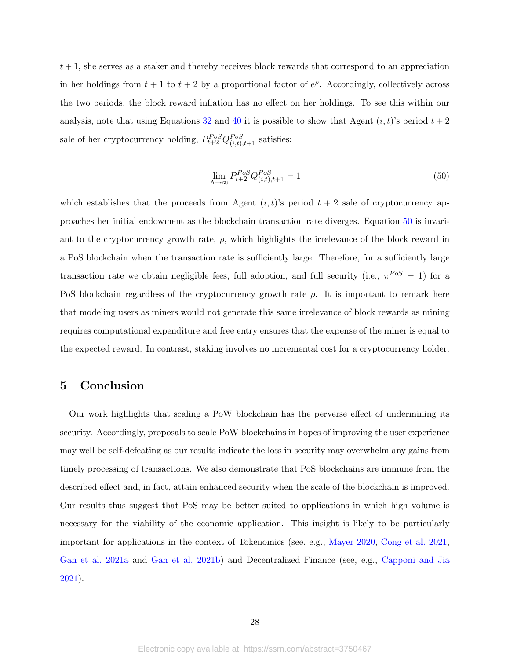$t + 1$ , she serves as a staker and thereby receives block rewards that correspond to an appreciation in her holdings from  $t + 1$  to  $t + 2$  by a proportional factor of  $e^{\rho}$ . Accordingly, collectively across the two periods, the block reward inflation has no effect on her holdings. To see this within our analysis, note that using Equations [32](#page-20-1) and [40](#page-22-2) it is possible to show that Agent  $(i, t)$ 's period  $t + 2$ sale of her cryptocurrency holding,  $P_{t+2}^{Pos}Q_{(i,t),t+1}^{Pos}$  satisfies:

<span id="page-28-0"></span>
$$
\lim_{\Lambda \to \infty} P_{t+2}^{Pos} Q_{(i,t),t+1}^{Pos} = 1
$$
\n(50)

which establishes that the proceeds from Agent  $(i, t)$ 's period  $t + 2$  sale of cryptocurrency approaches her initial endowment as the blockchain transaction rate diverges. Equation [50](#page-28-0) is invariant to the cryptocurrency growth rate,  $\rho$ , which highlights the irrelevance of the block reward in a PoS blockchain when the transaction rate is sufficiently large. Therefore, for a sufficiently large transaction rate we obtain negligible fees, full adoption, and full security (i.e.,  $\pi^{Pos} = 1$ ) for a PoS blockchain regardless of the cryptocurrency growth rate  $\rho$ . It is important to remark here that modeling users as miners would not generate this same irrelevance of block rewards as mining requires computational expenditure and free entry ensures that the expense of the miner is equal to the expected reward. In contrast, staking involves no incremental cost for a cryptocurrency holder.

## 5 Conclusion

Our work highlights that scaling a PoW blockchain has the perverse effect of undermining its security. Accordingly, proposals to scale PoW blockchains in hopes of improving the user experience may well be self-defeating as our results indicate the loss in security may overwhelm any gains from timely processing of transactions. We also demonstrate that PoS blockchains are immune from the described effect and, in fact, attain enhanced security when the scale of the blockchain is improved. Our results thus suggest that PoS may be better suited to applications in which high volume is necessary for the viability of the economic application. This insight is likely to be particularly important for applications in the context of Tokenomics (see, e.g., [Mayer](#page-30-12) [2020,](#page-30-12) [Cong et al.](#page-29-8) [2021,](#page-29-8) [Gan et al.](#page-29-9) [2021a](#page-29-9) and [Gan et al.](#page-30-13) [2021b\)](#page-30-13) and Decentralized Finance (see, e.g., [Capponi and Jia](#page-29-10) [2021\)](#page-29-10).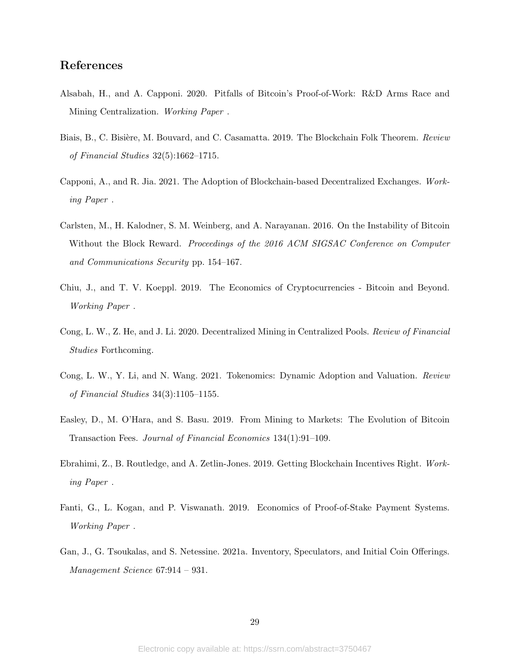## References

- <span id="page-29-5"></span>Alsabah, H., and A. Capponi. 2020. Pitfalls of Bitcoin's Proof-of-Work: R&D Arms Race and Mining Centralization. Working Paper .
- <span id="page-29-1"></span>Biais, B., C. Bisière, M. Bouvard, and C. Casamatta. 2019. The Blockchain Folk Theorem. Review of Financial Studies 32(5):1662–1715.
- <span id="page-29-10"></span>Capponi, A., and R. Jia. 2021. The Adoption of Blockchain-based Decentralized Exchanges. Working Paper .
- <span id="page-29-0"></span>Carlsten, M., H. Kalodner, S. M. Weinberg, and A. Narayanan. 2016. On the Instability of Bitcoin Without the Block Reward. *Proceedings of the 2016 ACM SIGSAC Conference on Computer* and Communications Security pp. 154–167.
- <span id="page-29-2"></span>Chiu, J., and T. V. Koeppl. 2019. The Economics of Cryptocurrencies - Bitcoin and Beyond. Working Paper .
- <span id="page-29-6"></span>Cong, L. W., Z. He, and J. Li. 2020. Decentralized Mining in Centralized Pools. Review of Financial Studies Forthcoming.
- <span id="page-29-8"></span>Cong, L. W., Y. Li, and N. Wang. 2021. Tokenomics: Dynamic Adoption and Valuation. Review of Financial Studies 34(3):1105–1155.
- <span id="page-29-3"></span>Easley, D., M. O'Hara, and S. Basu. 2019. From Mining to Markets: The Evolution of Bitcoin Transaction Fees. Journal of Financial Economics 134(1):91–109.
- <span id="page-29-4"></span>Ebrahimi, Z., B. Routledge, and A. Zetlin-Jones. 2019. Getting Blockchain Incentives Right. Working Paper .
- <span id="page-29-7"></span>Fanti, G., L. Kogan, and P. Viswanath. 2019. Economics of Proof-of-Stake Payment Systems. Working Paper .
- <span id="page-29-9"></span>Gan, J., G. Tsoukalas, and S. Netessine. 2021a. Inventory, Speculators, and Initial Coin Offerings. Management Science 67:914 – 931.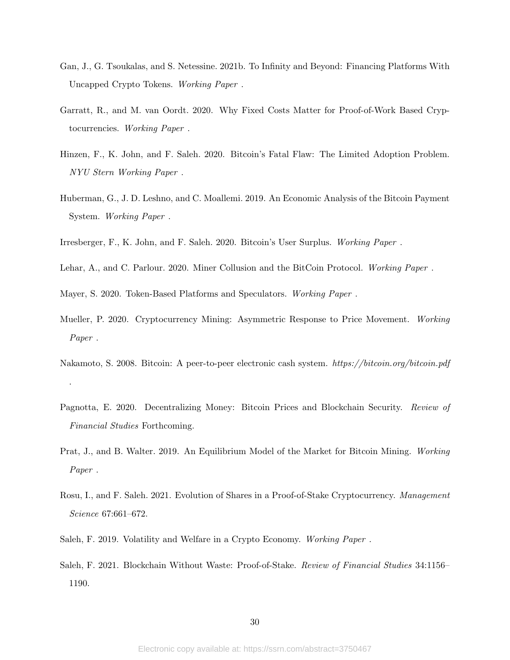- <span id="page-30-13"></span>Gan, J., G. Tsoukalas, and S. Netessine. 2021b. To Infinity and Beyond: Financing Platforms With Uncapped Crypto Tokens. Working Paper .
- <span id="page-30-5"></span>Garratt, R., and M. van Oordt. 2020. Why Fixed Costs Matter for Proof-of-Work Based Cryptocurrencies. Working Paper .
- <span id="page-30-6"></span>Hinzen, F., K. John, and F. Saleh. 2020. Bitcoin's Fatal Flaw: The Limited Adoption Problem. NYU Stern Working Paper .
- <span id="page-30-3"></span>Huberman, G., J. D. Leshno, and C. Moallemi. 2019. An Economic Analysis of the Bitcoin Payment System. Working Paper .
- <span id="page-30-0"></span>Irresberger, F., K. John, and F. Saleh. 2020. Bitcoin's User Surplus. Working Paper .
- <span id="page-30-7"></span>Lehar, A., and C. Parlour. 2020. Miner Collusion and the BitCoin Protocol. Working Paper .

<span id="page-30-12"></span>Mayer, S. 2020. Token-Based Platforms and Speculators. Working Paper .

- <span id="page-30-8"></span>Mueller, P. 2020. Cryptocurrency Mining: Asymmetric Response to Price Movement. Working Paper .
- <span id="page-30-1"></span>Nakamoto, S. 2008. Bitcoin: A peer-to-peer electronic cash system. https://bitcoin.org/bitcoin.pdf .
- <span id="page-30-9"></span>Pagnotta, E. 2020. Decentralizing Money: Bitcoin Prices and Blockchain Security. Review of Financial Studies Forthcoming.
- <span id="page-30-4"></span>Prat, J., and B. Walter. 2019. An Equilibrium Model of the Market for Bitcoin Mining. Working Paper .
- <span id="page-30-10"></span>Rosu, I., and F. Saleh. 2021. Evolution of Shares in a Proof-of-Stake Cryptocurrency. Management Science 67:661–672.
- <span id="page-30-11"></span>Saleh, F. 2019. Volatility and Welfare in a Crypto Economy. Working Paper .
- <span id="page-30-2"></span>Saleh, F. 2021. Blockchain Without Waste: Proof-of-Stake. Review of Financial Studies 34:1156– 1190.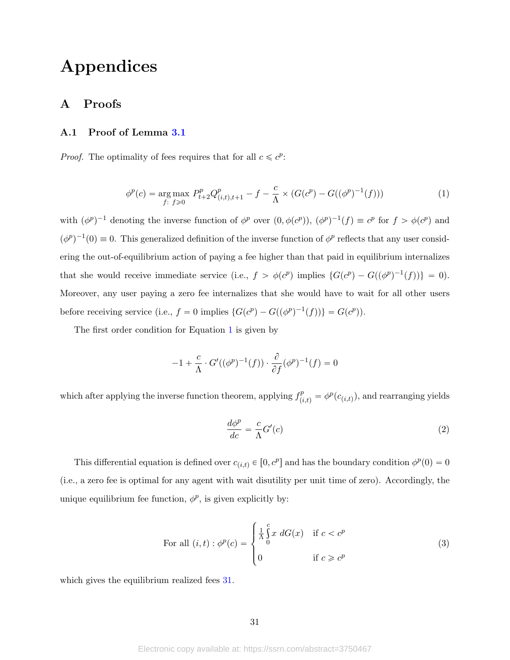# Appendices

## A Proofs

## <span id="page-31-0"></span>A.1 Proof of Lemma [3.1](#page-20-3)

*Proof.* The optimality of fees requires that for all  $c \leq c^p$ :

<span id="page-31-1"></span>
$$
\phi^p(c) = \underset{f: \ f \geq 0}{\text{arg max}} \ P_{t+2}^p Q_{(i,t),t+1}^p - f - \frac{c}{\Lambda} \times (G(c^p) - G((\phi^p)^{-1}(f))) \tag{1}
$$

with  $(\phi^p)^{-1}$  denoting the inverse function of  $\phi^p$  over  $(0, \phi(c^p))$ ,  $(\phi^p)^{-1}(f) \equiv c^p$  for  $f > \phi(c^p)$  and  $(\phi^p)^{-1}(0) \equiv 0$ . This generalized definition of the inverse function of  $\phi^p$  reflects that any user considering the out-of-equilibrium action of paying a fee higher than that paid in equilibrium internalizes that she would receive immediate service (i.e.,  $f > \phi(c^p)$  implies  $\{G(c^p) - G((\phi^p)^{-1}(f))\} = 0$ ). Moreover, any user paying a zero fee internalizes that she would have to wait for all other users before receiving service (i.e.,  $f = 0$  implies  $\{G(c^p) - G((\phi^p)^{-1}(f))\} = G(c^p)$ ).

The first order condition for Equation [1](#page-31-1) is given by

$$
-1 + \frac{c}{\Lambda} \cdot G'((\phi^p)^{-1}(f)) \cdot \frac{\partial}{\partial f} (\phi^p)^{-1}(f) = 0
$$

which after applying the inverse function theorem, applying  $f_{(i,t)}^p = \phi^p(c_{(i,t)})$ , and rearranging yields

$$
\frac{d\phi^p}{dc} = \frac{c}{\Lambda} G'(c) \tag{2}
$$

This differential equation is defined over  $c_{(i,t)} \in [0, c^p]$  and has the boundary condition  $\phi^p(0) = 0$ (i.e., a zero fee is optimal for any agent with wait disutility per unit time of zero). Accordingly, the unique equilibrium fee function,  $\phi^p$ , is given explicitly by:

For all 
$$
(i, t) : \phi^p(c) = \begin{cases} \frac{1}{\Lambda} \int_0^c x \ dG(x) & \text{if } c < c^p \\ 0 & \text{if } c \geq c^p \end{cases}
$$
 (3)

which gives the equilibrium realized fees  $31$ .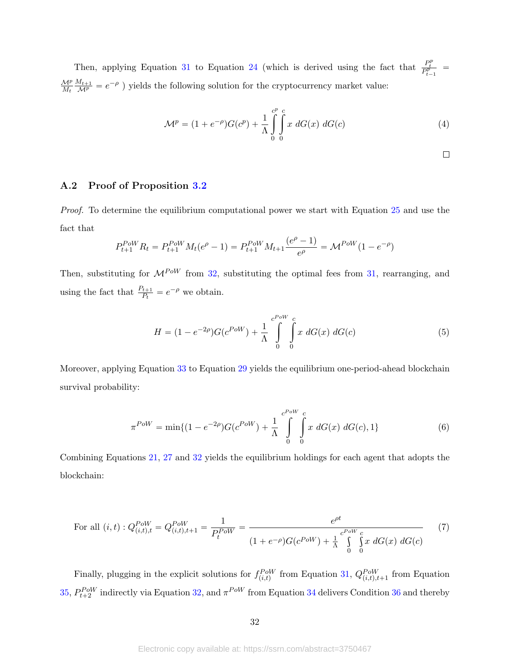Then, applying Equation [31](#page-20-0) to Equation [24](#page-18-0) (which is derived using the fact that  $\frac{P_t^p}{P_{t-1}^p}$  =  $\mathcal{M}^p$  $M_t$  $\frac{M_{t+1}}{M_P} = e^{-\rho}$ ) yields the following solution for the cryptocurrency market value:

$$
\mathcal{M}^{p} = (1 + e^{-\rho})G(c^{p}) + \frac{1}{\Lambda} \int_{0}^{c^{p}} \int_{0}^{c} x \, dG(x) \, dG(c) \tag{4}
$$

$$
\Box
$$

## <span id="page-32-0"></span>A.2 Proof of Proposition [3.2](#page-20-4)

Proof. To determine the equilibrium computational power we start with Equation [25](#page-19-1) and use the fact that

$$
P_{t+1}^{Pow} R_t = P_{t+1}^{Pow} M_t(e^{\rho} - 1) = P_{t+1}^{Pow} M_{t+1} \frac{(e^{\rho} - 1)}{e^{\rho}} = \mathcal{M}^{Pow} (1 - e^{-\rho})
$$

Then, substituting for  $\mathcal{M}^{PoW}$  from [32,](#page-20-1) substituting the optimal fees from [31,](#page-20-0) rearranging, and using the fact that  $\frac{P_{t+1}}{P_t} = e^{-\rho}$  we obtain.

$$
H = (1 - e^{-2\rho})G(c^{Pow}) + \frac{1}{\Lambda} \int_{0}^{c^{Pow}} \int_{0}^{c} x \ dG(x) \ dG(c)
$$
 (5)

Moreover, applying Equation [33](#page-20-2) to Equation [29](#page-19-2) yields the equilibrium one-period-ahead blockchain survival probability:

$$
\pi^{Pow} = \min\{(1 - e^{-2\rho})G(c^{Pow}) + \frac{1}{\Lambda} \int_{0}^{c^{Pow}} \int_{0}^{c} x \ dG(x) \ dG(c), 1\}
$$
 (6)

Combining Equations [21,](#page-18-1) [27](#page-19-3) and [32](#page-20-1) yields the equilibrium holdings for each agent that adopts the blockchain:

For all 
$$
(i, t) : Q_{(i,t),t}^{PoW} = Q_{(i,t),t+1}^{PoW} = \frac{1}{P_t^{PoW}} = \frac{e^{\rho t}}{(1 + e^{-\rho})G(c^{PoW}) + \frac{1}{\Lambda} \int_{0}^{c^{PoW} c} \int_{0}^{x} x \, dG(x) \, dG(c)}
$$
 (7)

Finally, plugging in the explicit solutions for  $f_{(i,t)}^{PoW}$  from Equation [31,](#page-20-0)  $Q_{(i,t),t+1}^{PoW}$  from Equation [35,](#page-21-1)  $P_{t+2}^{Pow}$  indirectly via Equation [32,](#page-20-1) and  $\pi^{Pow}$  from Equation [34](#page-21-2) delivers Condition [36](#page-21-3) and thereby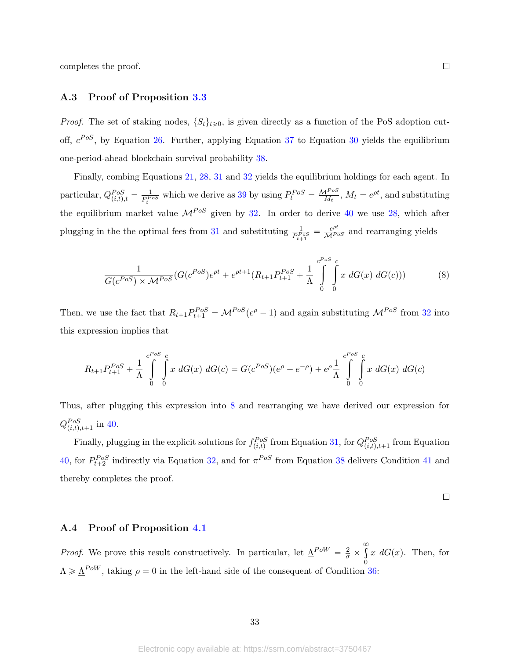completes the proof.

## <span id="page-33-0"></span>A.3 Proof of Proposition [3.3](#page-21-4)

*Proof.* The set of staking nodes,  $\{S_t\}_{t\geq0}$ , is given directly as a function of the PoS adoption cutoff,  $c^{Pos}$ , by Equation [26.](#page-19-0) Further, applying Equation [37](#page-21-5) to Equation [30](#page-20-5) yields the equilibrium one-period-ahead blockchain survival probability [38.](#page-21-0)

Finally, combing Equations [21,](#page-18-1) [28,](#page-19-4) [31](#page-20-0) and [32](#page-20-1) yields the equilibrium holdings for each agent. In particular,  $Q_{(i,t),t}^{Pos} = \frac{1}{P_t^P}$  $\frac{1}{P_t^{Pos}}$  which we derive as [39](#page-21-6) by using  $P_t^{Pos} = \frac{M^{Pos}}{M_t}$ ,  $M_t = e^{\rho t}$ , and substituting the equilibrium market value  $\mathcal{M}^{Pos}$  given by [32.](#page-20-1) In order to derive [40](#page-22-2) we use [28,](#page-19-4) which after plugging in the the optimal fees from [31](#page-20-0) and substituting  $\frac{1}{P_{t+1}^{D_{OS}}} = \frac{e^{\rho t}}{\mathcal{M}^{P_{OS}}}$  and rearranging yields

<span id="page-33-2"></span>
$$
\frac{1}{G(c^{Pos}) \times \mathcal{M}^{Pos}} (G(c^{Pos})e^{\rho t} + e^{\rho t+1}(R_{t+1}P_{t+1}^{Pos} + \frac{1}{\Lambda} \int_{0}^{c^{Pos} c} x \, dG(x) \, dG(c))) \tag{8}
$$

Then, we use the fact that  $R_{t+1}P_{t+1}^{Pos} = \mathcal{M}^{Pos}(e^{\rho}-1)$  and again substituting  $\mathcal{M}^{Pos}$  from [32](#page-20-1) into this expression implies that

$$
R_{t+1}P_{t+1}^{Pos} + \frac{1}{\Lambda} \int_{0}^{c^{Pos} c} x \, dG(x) \, dG(c) = G(c^{Pos})(e^{\rho} - e^{-\rho}) + e^{\rho} \frac{1}{\Lambda} \int_{0}^{c^{Pos} c} x \, dG(x) \, dG(c)
$$

Thus, after plugging this expression into [8](#page-33-2) and rearranging we have derived our expression for  $Q_{(i,t),t+1}^{Pos}$  in [40.](#page-22-2)

Finally, plugging in the explicit solutions for  $f_{(i,t)}^{Pos}$  from Equation [31,](#page-20-0) for  $Q_{(i,t),t+1}^{Pos}$  from Equation [40,](#page-22-2) for  $P_{t+2}^{PoS}$  indirectly via Equation [32,](#page-20-1) and for  $\pi^{PoS}$  from Equation [38](#page-21-0) delivers Condition [41](#page-22-3) and thereby completes the proof.

$$
\qquad \qquad \Box
$$

#### <span id="page-33-1"></span>A.4 Proof of Proposition [4.1](#page-22-0)

*Proof.* We prove this result constructively. In particular, let  $\underline{\Lambda}^{Pow} = \frac{2}{\sigma} \times$  $\infty$ 0  $x \, dG(x)$ . Then, for  $\Lambda \geq \underline{\Lambda}^{PoW}$ , taking  $\rho = 0$  in the left-hand side of the consequent of Condition [36:](#page-21-3)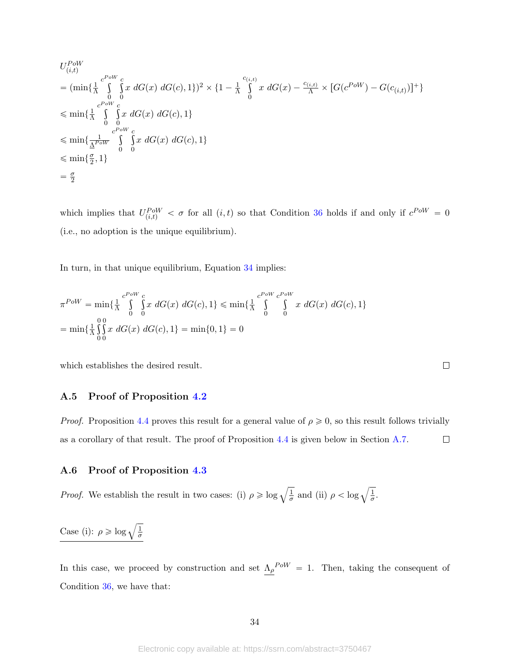$$
U_{(i,t)}^{Pow}
$$
  
=  $(\min{\{\frac{1}{\Lambda}\int_{0}^{c^{Pow}} \int_{0}^{c} x \ dG(x) \ dG(c), 1\}})^2 \times \{1 - \frac{1}{\Lambda}\int_{0}^{c_{(i,t)}} x \ dG(x) - \frac{c_{(i,t)}}{\Lambda} \times [G(c^{Pow}) - G(c_{(i,t)})]^+\}$   
 $\leq \min{\{\frac{1}{\Lambda}\int_{0}^{c^{Pow}} \int_{0}^{c} x \ dG(x) \ dG(c), 1\}}$   
 $\leq \min{\{\frac{1}{\Lambda^{Pow}}\int_{0}^{c^{Pow}} \int_{0}^{c} x \ dG(x) \ dG(c), 1\}}$   
 $= \frac{\sigma}{2}$ 

which implies that  $U_{(i,t)}^{Pow} < \sigma$  for all  $(i, t)$  so that Condition [36](#page-21-3) holds if and only if  $c^{Pow} = 0$ (i.e., no adoption is the unique equilibrium).

In turn, in that unique equilibrium, Equation [34](#page-21-2) implies:

$$
\pi^{Pow} = \min\{\frac{1}{\Lambda} \int_{0}^{c^{Pow}} \int_{0}^{c} x \ dG(x) \ dG(c), 1\} \le \min\{\frac{1}{\Lambda} \int_{0}^{c^{Pow}} \int_{0}^{c^{Pow}} x \ dG(x) \ dG(c), 1\}
$$

$$
= \min\{\frac{1}{\Lambda} \int_{0}^{0} \int_{0}^{x} x \ dG(x) \ dG(c), 1\} = \min\{0, 1\} = 0
$$

which establishes the desired result.

## <span id="page-34-0"></span>A.5 Proof of Proposition [4.2](#page-24-0)

*Proof.* Proposition [4.4](#page-27-0) proves this result for a general value of  $\rho \geq 0$ , so this result follows trivially as a corollary of that result. The proof of Proposition [4.4](#page-27-0) is given below in Section [A.7.](#page-36-0)  $\Box$ 

 $\Box$ 

## <span id="page-34-1"></span>A.6 Proof of Proposition [4.3](#page-25-0)

*Proof.* We establish the result in two cases: (i)  $\rho \geqslant \log \sqrt{\frac{1}{\sigma}}$  $\frac{1}{\sigma}$  and (ii)  $\rho < \log \sqrt{\frac{1}{\sigma}}$  $\frac{1}{\sigma}$ .

Case (i):  $\rho \geqslant \log \sqrt{\frac{1}{\sigma}}$ σ

In this case, we proceed by construction and set  $\Lambda_{\rho}^{POW} = 1$ . Then, taking the consequent of Condition [36,](#page-21-3) we have that: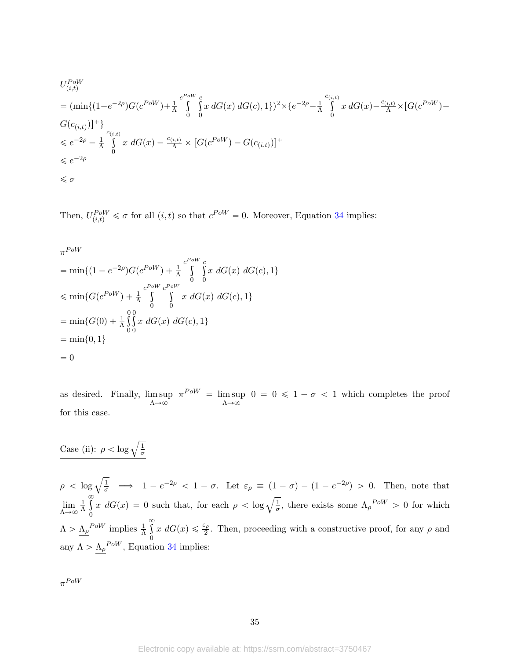$$
U_{(i,t)}^{Pow}
$$
  
=  $(\min\{(1-e^{-2\rho})G(c^{Pow})+\frac{1}{\Lambda}\int_{0}^{c^{Pow}}\int_{0}^{c}x\ dG(x)\ dG(c),1\})^{2}\times\{e^{-2\rho}-\frac{1}{\Lambda}\int_{0}^{c_{(i,t)}}x\ dG(x)-\frac{c_{(i,t)}}{\Lambda}\times[G(c^{Pow})-G(c_{(i,t)})]\}$   
 $\leq e^{-2\rho}-\frac{1}{\Lambda}\int_{0}^{c_{(i,t)}}x\ dG(x)-\frac{c_{(i,t)}}{\Lambda}\times[G(c^{Pow})-G(c_{(i,t)})]^{+}$   
 $\leq e^{-2\rho}$   
 $\leq \sigma$ 

Then,  $U_{(i,t)}^{PoW} \leq \sigma$  for all  $(i, t)$  so that  $c^{PoW} = 0$ . Moreover, Equation [34](#page-21-2) implies:

$$
\pi^{PoW}
$$

$$
= \min\{(1 - e^{-2\rho})G(c^{Pow}) + \frac{1}{\Lambda} \int_{0}^{c^{Pow}} \int_{0}^{c} x \ dG(x) \ dG(c), 1\}
$$
  

$$
\leqslant \min\{G(c^{Pow}) + \frac{1}{\Lambda} \int_{0}^{c^{Pow}} \int_{0}^{c^{Pow}} x \ dG(x) \ dG(c), 1\}
$$
  

$$
= \min\{G(0) + \frac{1}{\Lambda} \int_{0}^{0} x \ dG(x) \ dG(c), 1\}
$$
  

$$
= \min\{0, 1\}
$$
  
= 0

as desired. Finally, lim sup  $\Lambda \rightarrow \infty$  $\pi^{PoW} = \limsup$  $\Lambda \rightarrow \infty$  $0 = 0 \leq 1 - \sigma < 1$  which completes the proof for this case.

## Case (ii):  $\rho < \log \sqrt{\frac{1}{\sigma}}$ σ

 $\rho < \log \sqrt{\frac{1}{\sigma}} \implies 1 - e^{-2\rho} < 1 - \sigma$ . Let  $\varepsilon_{\rho} \equiv (1 - \sigma) - (1 - e^{-2\rho}) > 0$ . Then, note that  $\lim_{\Lambda \to \infty}$ 1 Λ  $\infty$  $\boldsymbol{0}$  $\int \sigma$ <br>  $x \, dG(x) = 0$  such that, for each  $\rho < \log \sqrt{\frac{1}{\sigma}}$  $\frac{1}{\sigma}$ , there exists some  $\Lambda_{\rho}^{POW} > 0$  for which  $\Lambda > \underline{\Lambda}_{\rho}^{POW}$  implies  $\frac{1}{\Lambda}$  $\infty$ 0  $x \, dG(x) \leq \frac{\varepsilon_{\rho}}{2}$ . Then, proceeding with a constructive proof, for any  $\rho$  and any  $\Lambda > \Lambda_{\rho}^{Pow}$ , Equation [34](#page-21-2) implies:

 $\pi^{PoW}$